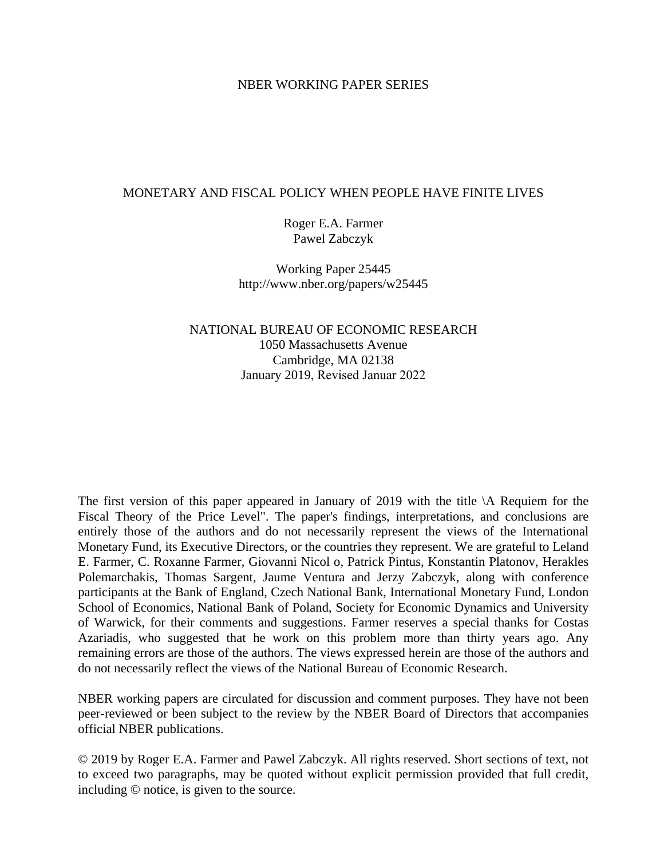# NBER WORKING PAPER SERIES

# MONETARY AND FISCAL POLICY WHEN PEOPLE HAVE FINITE LIVES

Roger E.A. Farmer Pawel Zabczyk

Working Paper 25445 http://www.nber.org/papers/w25445

NATIONAL BUREAU OF ECONOMIC RESEARCH 1050 Massachusetts Avenue Cambridge, MA 02138 January 2019, Revised Januar 2022

The first version of this paper appeared in January of 2019 with the title \A Requiem for the Fiscal Theory of the Price Level". The paper's findings, interpretations, and conclusions are entirely those of the authors and do not necessarily represent the views of the International Monetary Fund, its Executive Directors, or the countries they represent. We are grateful to Leland E. Farmer, C. Roxanne Farmer, Giovanni Nicol o, Patrick Pintus, Konstantin Platonov, Herakles Polemarchakis, Thomas Sargent, Jaume Ventura and Jerzy Zabczyk, along with conference participants at the Bank of England, Czech National Bank, International Monetary Fund, London School of Economics, National Bank of Poland, Society for Economic Dynamics and University of Warwick, for their comments and suggestions. Farmer reserves a special thanks for Costas Azariadis, who suggested that he work on this problem more than thirty years ago. Any remaining errors are those of the authors. The views expressed herein are those of the authors and do not necessarily reflect the views of the National Bureau of Economic Research.

NBER working papers are circulated for discussion and comment purposes. They have not been peer-reviewed or been subject to the review by the NBER Board of Directors that accompanies official NBER publications.

© 2019 by Roger E.A. Farmer and Pawel Zabczyk. All rights reserved. Short sections of text, not to exceed two paragraphs, may be quoted without explicit permission provided that full credit, including © notice, is given to the source.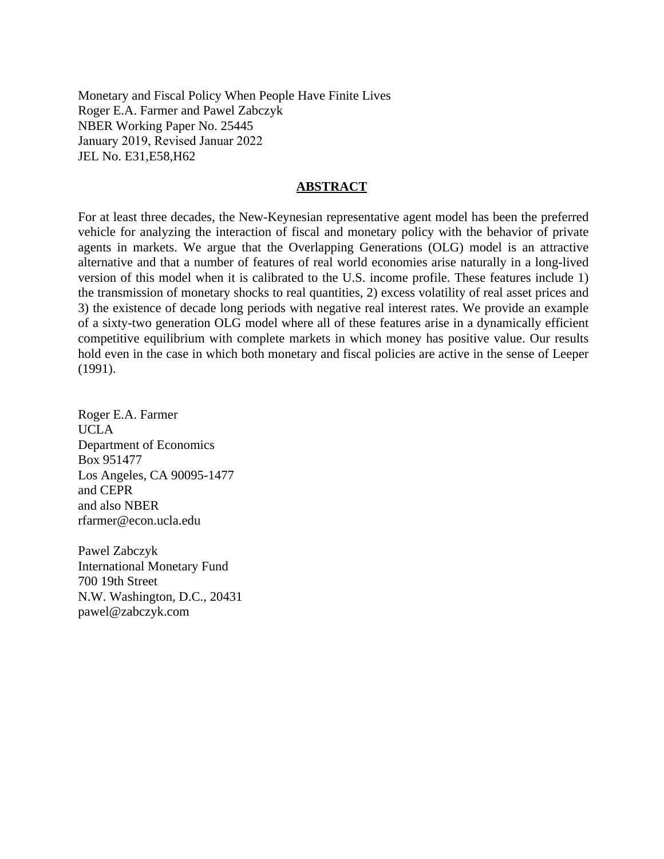Monetary and Fiscal Policy When People Have Finite Lives Roger E.A. Farmer and Pawel Zabczyk NBER Working Paper No. 25445 January 2019, Revised Januar 2022 JEL No. E31,E58,H62

# **ABSTRACT**

For at least three decades, the New-Keynesian representative agent model has been the preferred vehicle for analyzing the interaction of fiscal and monetary policy with the behavior of private agents in markets. We argue that the Overlapping Generations (OLG) model is an attractive alternative and that a number of features of real world economies arise naturally in a long-lived version of this model when it is calibrated to the U.S. income profile. These features include 1) the transmission of monetary shocks to real quantities, 2) excess volatility of real asset prices and 3) the existence of decade long periods with negative real interest rates. We provide an example of a sixty-two generation OLG model where all of these features arise in a dynamically efficient competitive equilibrium with complete markets in which money has positive value. Our results hold even in the case in which both monetary and fiscal policies are active in the sense of Leeper (1991).

Roger E.A. Farmer UCLA Department of Economics Box 951477 Los Angeles, CA 90095-1477 and CEPR and also NBER rfarmer@econ.ucla.edu

Pawel Zabczyk International Monetary Fund 700 19th Street N.W. Washington, D.C., 20431 pawel@zabczyk.com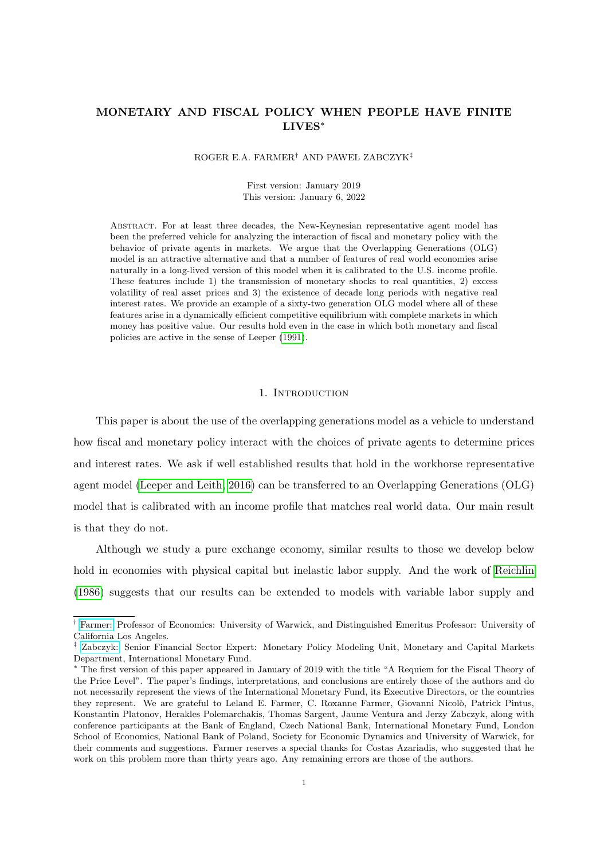# MONETARY AND FISCAL POLICY WHEN PEOPLE HAVE FINITE LIVES<sup>∗</sup>

#### ROGER E.A. FARMER† AND PAWEL ZABCZYK‡

First version: January 2019 This version: January 6, 2022

Abstract. For at least three decades, the New-Keynesian representative agent model has been the preferred vehicle for analyzing the interaction of fiscal and monetary policy with the behavior of private agents in markets. We argue that the Overlapping Generations (OLG) model is an attractive alternative and that a number of features of real world economies arise naturally in a long-lived version of this model when it is calibrated to the U.S. income profile. These features include 1) the transmission of monetary shocks to real quantities, 2) excess volatility of real asset prices and 3) the existence of decade long periods with negative real interest rates. We provide an example of a sixty-two generation OLG model where all of these features arise in a dynamically efficient competitive equilibrium with complete markets in which money has positive value. Our results hold even in the case in which both monetary and fiscal policies are active in the sense of Leeper [\(1991\)](#page-32-0).

# 1. Introduction

This paper is about the use of the overlapping generations model as a vehicle to understand how fiscal and monetary policy interact with the choices of private agents to determine prices and interest rates. We ask if well established results that hold in the workhorse representative agent model [\(Leeper and Leith, 2016\)](#page-32-1) can be transferred to an Overlapping Generations (OLG) model that is calibrated with an income profile that matches real world data. Our main result is that they do not.

Although we study a pure exchange economy, similar results to those we develop below hold in economies with physical capital but inelastic labor supply. And the work of [Reichlin](#page-33-0) [\(1986\)](#page-33-0) suggests that our results can be extended to models with variable labor supply and

<sup>†</sup> [Farmer:](mailto: R.Farmer.1@warwick.ac.uk) Professor of Economics: University of Warwick, and Distinguished Emeritus Professor: University of California Los Angeles.

<sup>‡</sup> [Zabczyk:](mailto: pzabczyk@imf.org) Senior Financial Sector Expert: Monetary Policy Modeling Unit, Monetary and Capital Markets Department, International Monetary Fund.

<sup>∗</sup> The first version of this paper appeared in January of 2019 with the title "A Requiem for the Fiscal Theory of the Price Level". The paper's findings, interpretations, and conclusions are entirely those of the authors and do not necessarily represent the views of the International Monetary Fund, its Executive Directors, or the countries they represent. We are grateful to Leland E. Farmer, C. Roxanne Farmer, Giovanni Nicolò, Patrick Pintus, Konstantin Platonov, Herakles Polemarchakis, Thomas Sargent, Jaume Ventura and Jerzy Zabczyk, along with conference participants at the Bank of England, Czech National Bank, International Monetary Fund, London School of Economics, National Bank of Poland, Society for Economic Dynamics and University of Warwick, for their comments and suggestions. Farmer reserves a special thanks for Costas Azariadis, who suggested that he work on this problem more than thirty years ago. Any remaining errors are those of the authors.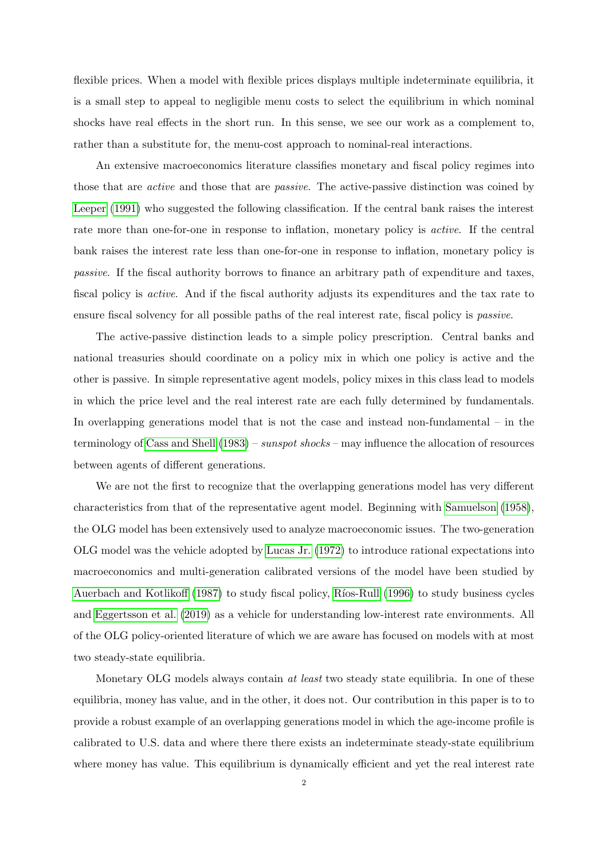flexible prices. When a model with flexible prices displays multiple indeterminate equilibria, it is a small step to appeal to negligible menu costs to select the equilibrium in which nominal shocks have real effects in the short run. In this sense, we see our work as a complement to, rather than a substitute for, the menu-cost approach to nominal-real interactions.

An extensive macroeconomics literature classifies monetary and fiscal policy regimes into those that are active and those that are passive. The active-passive distinction was coined by [Leeper](#page-32-0) [\(1991\)](#page-32-0) who suggested the following classification. If the central bank raises the interest rate more than one-for-one in response to inflation, monetary policy is active. If the central bank raises the interest rate less than one-for-one in response to inflation, monetary policy is passive. If the fiscal authority borrows to finance an arbitrary path of expenditure and taxes, fiscal policy is active. And if the fiscal authority adjusts its expenditures and the tax rate to ensure fiscal solvency for all possible paths of the real interest rate, fiscal policy is passive.

The active-passive distinction leads to a simple policy prescription. Central banks and national treasuries should coordinate on a policy mix in which one policy is active and the other is passive. In simple representative agent models, policy mixes in this class lead to models in which the price level and the real interest rate are each fully determined by fundamentals. In overlapping generations model that is not the case and instead non-fundamental – in the terminology of [Cass and Shell](#page-31-0)  $(1983)$  – sunspot shocks – may influence the allocation of resources between agents of different generations.

We are not the first to recognize that the overlapping generations model has very different characteristics from that of the representative agent model. Beginning with [Samuelson](#page-33-1) [\(1958\)](#page-33-1), the OLG model has been extensively used to analyze macroeconomic issues. The two-generation OLG model was the vehicle adopted by [Lucas Jr.](#page-32-2) [\(1972\)](#page-32-2) to introduce rational expectations into macroeconomics and multi-generation calibrated versions of the model have been studied by [Auerbach and Kotlikoff](#page-31-1) [\(1987\)](#page-31-1) to study fiscal policy, Ríos-Rull [\(1996\)](#page-33-2) to study business cycles and [Eggertsson et al.](#page-31-2) [\(2019\)](#page-31-2) as a vehicle for understanding low-interest rate environments. All of the OLG policy-oriented literature of which we are aware has focused on models with at most two steady-state equilibria.

Monetary OLG models always contain *at least* two steady state equilibria. In one of these equilibria, money has value, and in the other, it does not. Our contribution in this paper is to to provide a robust example of an overlapping generations model in which the age-income profile is calibrated to U.S. data and where there there exists an indeterminate steady-state equilibrium where money has value. This equilibrium is dynamically efficient and yet the real interest rate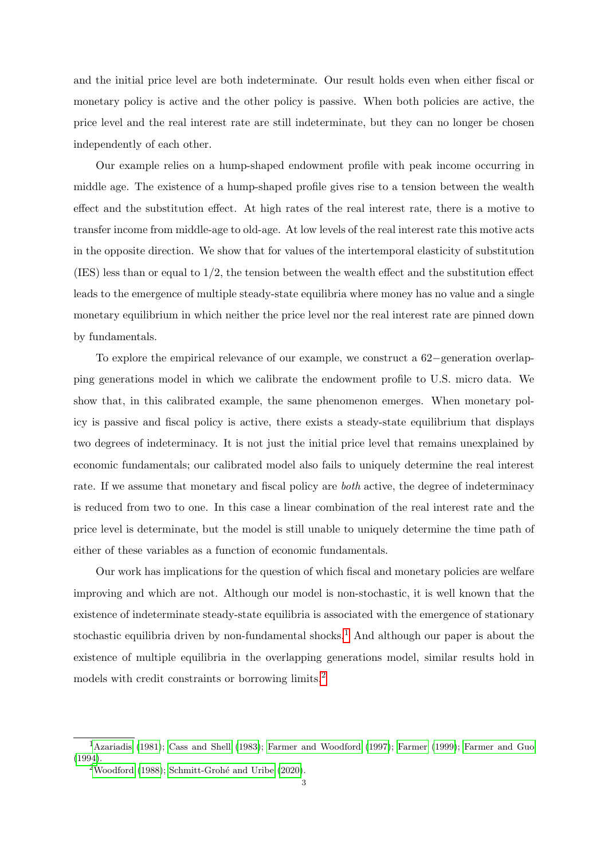and the initial price level are both indeterminate. Our result holds even when either fiscal or monetary policy is active and the other policy is passive. When both policies are active, the price level and the real interest rate are still indeterminate, but they can no longer be chosen independently of each other.

Our example relies on a hump-shaped endowment profile with peak income occurring in middle age. The existence of a hump-shaped profile gives rise to a tension between the wealth effect and the substitution effect. At high rates of the real interest rate, there is a motive to transfer income from middle-age to old-age. At low levels of the real interest rate this motive acts in the opposite direction. We show that for values of the intertemporal elasticity of substitution (IES) less than or equal to 1/2, the tension between the wealth effect and the substitution effect leads to the emergence of multiple steady-state equilibria where money has no value and a single monetary equilibrium in which neither the price level nor the real interest rate are pinned down by fundamentals.

To explore the empirical relevance of our example, we construct a 62−generation overlapping generations model in which we calibrate the endowment profile to U.S. micro data. We show that, in this calibrated example, the same phenomenon emerges. When monetary policy is passive and fiscal policy is active, there exists a steady-state equilibrium that displays two degrees of indeterminacy. It is not just the initial price level that remains unexplained by economic fundamentals; our calibrated model also fails to uniquely determine the real interest rate. If we assume that monetary and fiscal policy are both active, the degree of indeterminacy is reduced from two to one. In this case a linear combination of the real interest rate and the price level is determinate, but the model is still unable to uniquely determine the time path of either of these variables as a function of economic fundamentals.

Our work has implications for the question of which fiscal and monetary policies are welfare improving and which are not. Although our model is non-stochastic, it is well known that the existence of indeterminate steady-state equilibria is associated with the emergence of stationary stochastic equilibria driven by non-fundamental shocks.<sup>[1](#page-4-0)</sup> And although our paper is about the existence of multiple equilibria in the overlapping generations model, similar results hold in models with credit constraints or borrowing limits.[2](#page-4-1)

<span id="page-4-0"></span><sup>&</sup>lt;sup>1</sup>[Azariadis](#page-31-3) [\(1981\)](#page-31-3); [Cass and Shell](#page-31-0) [\(1983\)](#page-31-0); [Farmer and Woodford](#page-32-3) [\(1997\)](#page-32-3); [Farmer](#page-31-4) [\(1999\)](#page-31-4); [Farmer and Guo](#page-32-4) [\(1994\)](#page-32-4).

<span id="page-4-1"></span> $2$ [Woodford](#page-33-3) [\(1988\)](#page-33-3); Schmitt-Grohé and Uribe [\(2020\)](#page-33-4).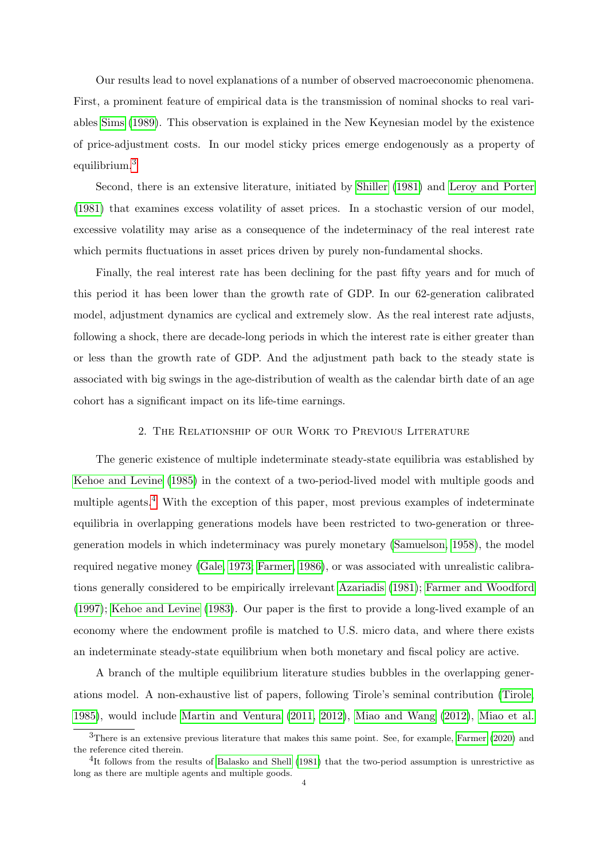Our results lead to novel explanations of a number of observed macroeconomic phenomena. First, a prominent feature of empirical data is the transmission of nominal shocks to real variables [Sims](#page-33-5) [\(1989\)](#page-33-5). This observation is explained in the New Keynesian model by the existence of price-adjustment costs. In our model sticky prices emerge endogenously as a property of equilibrium.[3](#page-5-0)

Second, there is an extensive literature, initiated by [Shiller](#page-33-6) [\(1981\)](#page-33-6) and [Leroy and Porter](#page-32-5) [\(1981\)](#page-32-5) that examines excess volatility of asset prices. In a stochastic version of our model, excessive volatility may arise as a consequence of the indeterminacy of the real interest rate which permits fluctuations in asset prices driven by purely non-fundamental shocks.

Finally, the real interest rate has been declining for the past fifty years and for much of this period it has been lower than the growth rate of GDP. In our 62-generation calibrated model, adjustment dynamics are cyclical and extremely slow. As the real interest rate adjusts, following a shock, there are decade-long periods in which the interest rate is either greater than or less than the growth rate of GDP. And the adjustment path back to the steady state is associated with big swings in the age-distribution of wealth as the calendar birth date of an age cohort has a significant impact on its life-time earnings.

# 2. The Relationship of our Work to Previous Literature

The generic existence of multiple indeterminate steady-state equilibria was established by [Kehoe and Levine](#page-32-6) [\(1985\)](#page-32-6) in the context of a two-period-lived model with multiple goods and multiple agents.<sup>[4](#page-5-1)</sup> With the exception of this paper, most previous examples of indeterminate equilibria in overlapping generations models have been restricted to two-generation or threegeneration models in which indeterminacy was purely monetary [\(Samuelson, 1958\)](#page-33-1), the model required negative money [\(Gale, 1973;](#page-32-7) [Farmer, 1986\)](#page-31-5), or was associated with unrealistic calibrations generally considered to be empirically irrelevant [Azariadis](#page-31-3) [\(1981\)](#page-31-3); [Farmer and Woodford](#page-32-3) [\(1997\)](#page-32-3); [Kehoe and Levine](#page-32-8) [\(1983\)](#page-32-8). Our paper is the first to provide a long-lived example of an economy where the endowment profile is matched to U.S. micro data, and where there exists an indeterminate steady-state equilibrium when both monetary and fiscal policy are active.

A branch of the multiple equilibrium literature studies bubbles in the overlapping generations model. A non-exhaustive list of papers, following Tirole's seminal contribution [\(Tirole,](#page-33-7) [1985\)](#page-33-7), would include [Martin and Ventura](#page-32-9) [\(2011,](#page-32-9) [2012\)](#page-32-10), [Miao and Wang](#page-33-8) [\(2012\)](#page-33-8), [Miao et al.](#page-33-9)

<span id="page-5-0"></span><sup>3</sup>There is an extensive previous literature that makes this same point. See, for example, [Farmer](#page-32-11) [\(2020\)](#page-32-11) and the reference cited therein.

<span id="page-5-1"></span><sup>&</sup>lt;sup>4</sup>It follows from the results of [Balasko and Shell](#page-31-6) [\(1981\)](#page-31-6) that the two-period assumption is unrestrictive as long as there are multiple agents and multiple goods.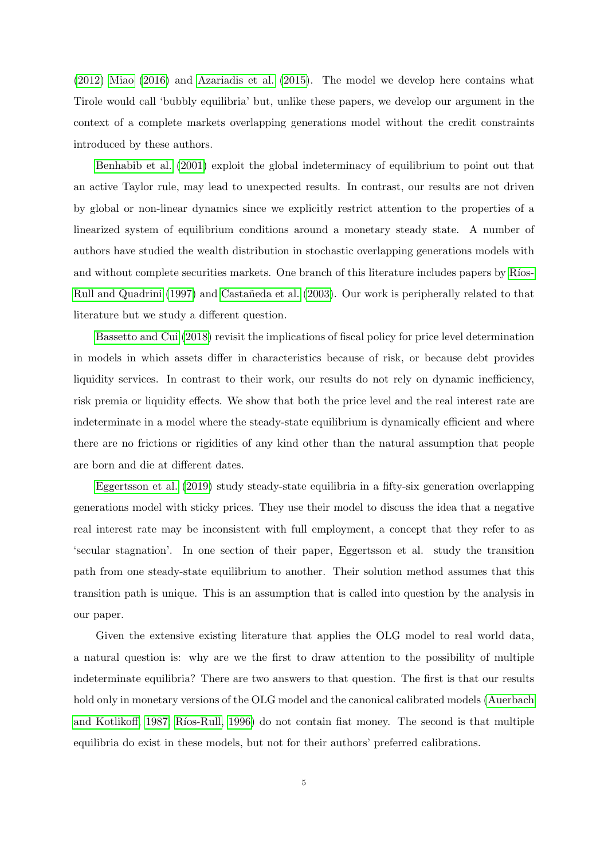[\(2012\)](#page-33-9) [Miao](#page-32-12) [\(2016\)](#page-32-12) and [Azariadis et al.](#page-31-7) [\(2015\)](#page-31-7). The model we develop here contains what Tirole would call 'bubbly equilibria' but, unlike these papers, we develop our argument in the context of a complete markets overlapping generations model without the credit constraints introduced by these authors.

[Benhabib et al.](#page-31-8) [\(2001\)](#page-31-8) exploit the global indeterminacy of equilibrium to point out that an active Taylor rule, may lead to unexpected results. In contrast, our results are not driven by global or non-linear dynamics since we explicitly restrict attention to the properties of a linearized system of equilibrium conditions around a monetary steady state. A number of authors have studied the wealth distribution in stochastic overlapping generations models with and without complete securities markets. One branch of this literature includes papers by Ríos-[Rull and Quadrini](#page-33-10) [\(1997\)](#page-33-10) and Castañeda et al. [\(2003\)](#page-31-9). Our work is peripherally related to that literature but we study a different question.

[Bassetto and Cui](#page-31-10) [\(2018\)](#page-31-10) revisit the implications of fiscal policy for price level determination in models in which assets differ in characteristics because of risk, or because debt provides liquidity services. In contrast to their work, our results do not rely on dynamic inefficiency, risk premia or liquidity effects. We show that both the price level and the real interest rate are indeterminate in a model where the steady-state equilibrium is dynamically efficient and where there are no frictions or rigidities of any kind other than the natural assumption that people are born and die at different dates.

[Eggertsson et al.](#page-31-2) [\(2019\)](#page-31-2) study steady-state equilibria in a fifty-six generation overlapping generations model with sticky prices. They use their model to discuss the idea that a negative real interest rate may be inconsistent with full employment, a concept that they refer to as 'secular stagnation'. In one section of their paper, Eggertsson et al. study the transition path from one steady-state equilibrium to another. Their solution method assumes that this transition path is unique. This is an assumption that is called into question by the analysis in our paper.

Given the extensive existing literature that applies the OLG model to real world data, a natural question is: why are we the first to draw attention to the possibility of multiple indeterminate equilibria? There are two answers to that question. The first is that our results hold only in monetary versions of the OLG model and the canonical calibrated models [\(Auerbach](#page-31-1) [and Kotlikoff, 1987;](#page-31-1) Ríos-Rull, 1996) do not contain fiat money. The second is that multiple equilibria do exist in these models, but not for their authors' preferred calibrations.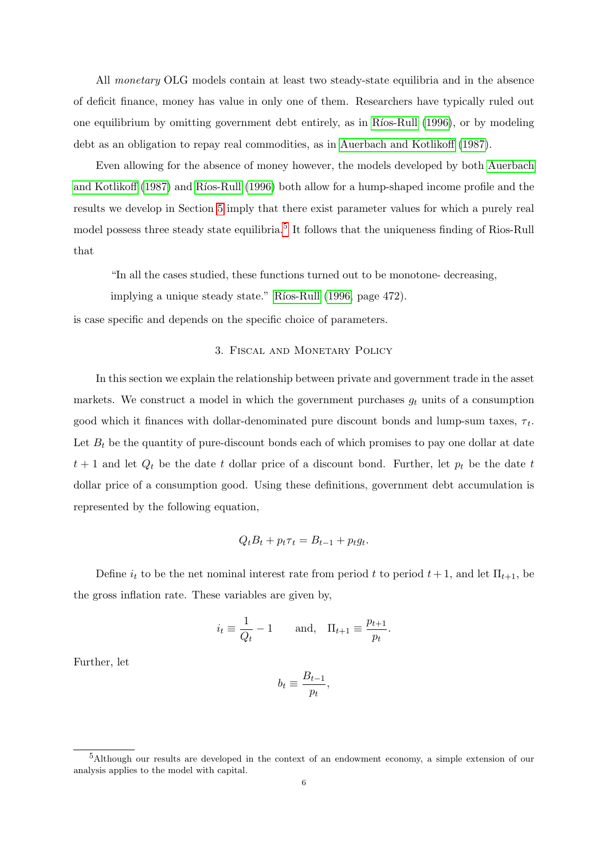All monetary OLG models contain at least two steady-state equilibria and in the absence of deficit finance, money has value in only one of them. Researchers have typically ruled out one equilibrium by omitting government debt entirely, as in Ríos-Rull [\(1996\)](#page-33-2), or by modeling debt as an obligation to repay real commodities, as in [Auerbach and Kotlikoff](#page-31-1) [\(1987\)](#page-31-1).

Even allowing for the absence of money however, the models developed by both [Auerbach](#page-31-1) [and Kotlikoff](#page-31-1) [\(1987\)](#page-31-1) and Ríos-Rull [\(1996\)](#page-33-2) both allow for a hump-shaped income profile and the results we develop in Section [5](#page-13-0) imply that there exist parameter values for which a purely real model possess three steady state equilibria.<sup>[5](#page-7-0)</sup> It follows that the uniqueness finding of Rios-Rull that

"In all the cases studied, these functions turned out to be monotone- decreasing,

implying a unique steady state." Ríos-Rull [\(1996,](#page-33-2) page 472).

is case specific and depends on the specific choice of parameters.

# 3. Fiscal and Monetary Policy

In this section we explain the relationship between private and government trade in the asset markets. We construct a model in which the government purchases  $g_t$  units of a consumption good which it finances with dollar-denominated pure discount bonds and lump-sum taxes,  $\tau_t$ . Let  $B_t$  be the quantity of pure-discount bonds each of which promises to pay one dollar at date  $t + 1$  and let  $Q_t$  be the date t dollar price of a discount bond. Further, let  $p_t$  be the date t dollar price of a consumption good. Using these definitions, government debt accumulation is represented by the following equation,

$$
Q_t B_t + p_t \tau_t = B_{t-1} + p_t g_t.
$$

Define  $i_t$  to be the net nominal interest rate from period t to period  $t + 1$ , and let  $\Pi_{t+1}$ , be the gross inflation rate. These variables are given by,

$$
i_t \equiv \frac{1}{Q_t} - 1
$$
 and,  $\Pi_{t+1} \equiv \frac{p_{t+1}}{p_t}$ .

Further, let

$$
b_t \equiv \frac{B_{t-1}}{p_t},
$$

<span id="page-7-0"></span><sup>5</sup>Although our results are developed in the context of an endowment economy, a simple extension of our analysis applies to the model with capital.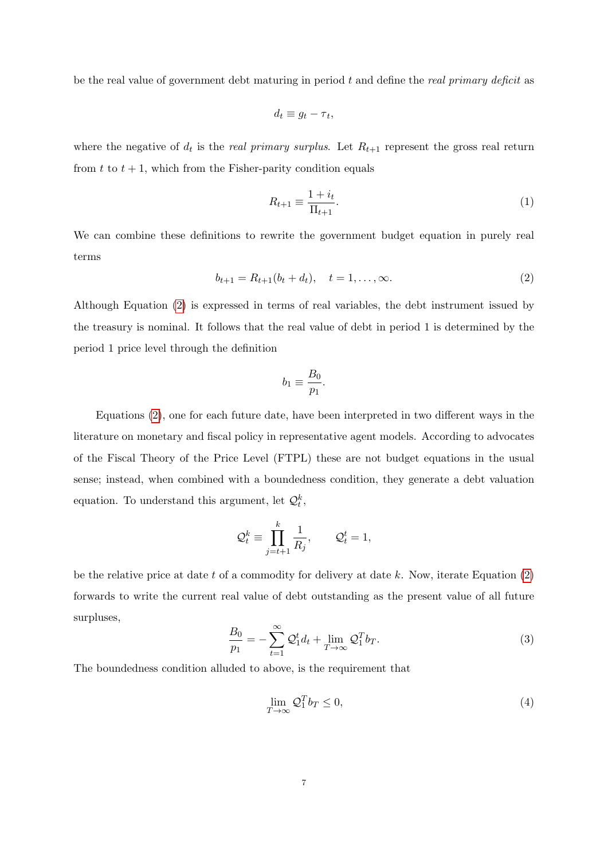be the real value of government debt maturing in period  $t$  and define the *real primary deficit* as

$$
d_t \equiv g_t - \tau_t,
$$

where the negative of  $d_t$  is the *real primary surplus*. Let  $R_{t+1}$  represent the gross real return from t to  $t + 1$ , which from the Fisher-parity condition equals

$$
R_{t+1} \equiv \frac{1+i_t}{\Pi_{t+1}}.\tag{1}
$$

We can combine these definitions to rewrite the government budget equation in purely real terms

<span id="page-8-0"></span>
$$
b_{t+1} = R_{t+1}(b_t + d_t), \quad t = 1, \dots, \infty.
$$
 (2)

Although Equation [\(2\)](#page-8-0) is expressed in terms of real variables, the debt instrument issued by the treasury is nominal. It follows that the real value of debt in period 1 is determined by the period 1 price level through the definition

$$
b_1 \equiv \frac{B_0}{p_1}.
$$

Equations [\(2\)](#page-8-0), one for each future date, have been interpreted in two different ways in the literature on monetary and fiscal policy in representative agent models. According to advocates of the Fiscal Theory of the Price Level (FTPL) these are not budget equations in the usual sense; instead, when combined with a boundedness condition, they generate a debt valuation equation. To understand this argument, let  $\mathcal{Q}_t^k$ ,

$$
\mathcal{Q}_t^k \equiv \prod_{j=t+1}^k \frac{1}{R_j}, \qquad \mathcal{Q}_t^t = 1,
$$

be the relative price at date t of a commodity for delivery at date  $k$ . Now, iterate Equation  $(2)$ forwards to write the current real value of debt outstanding as the present value of all future surpluses,

<span id="page-8-1"></span>
$$
\frac{B_0}{p_1} = -\sum_{t=1}^{\infty} \mathcal{Q}_1^t d_t + \lim_{T \to \infty} \mathcal{Q}_1^T b_T.
$$
\n(3)

The boundedness condition alluded to above, is the requirement that

<span id="page-8-2"></span>
$$
\lim_{T \to \infty} \mathcal{Q}_1^T b_T \le 0,\tag{4}
$$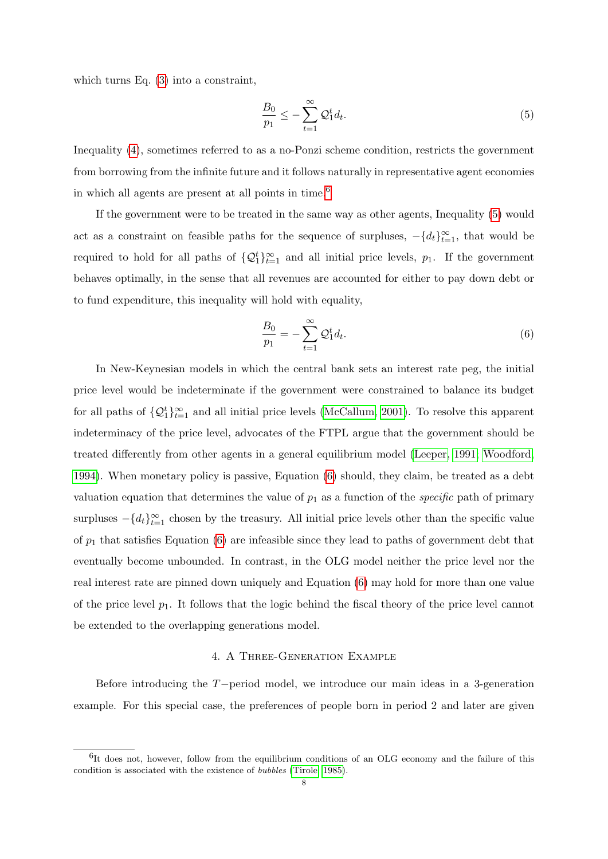which turns Eq. [\(3\)](#page-8-1) into a constraint,

<span id="page-9-1"></span>
$$
\frac{B_0}{p_1} \le -\sum_{t=1}^{\infty} \mathcal{Q}_1^t d_t. \tag{5}
$$

Inequality [\(4\)](#page-8-2), sometimes referred to as a no-Ponzi scheme condition, restricts the government from borrowing from the infinite future and it follows naturally in representative agent economies in which all agents are present at all points in time.<sup>[6](#page-9-0)</sup>

If the government were to be treated in the same way as other agents, Inequality [\(5\)](#page-9-1) would act as a constraint on feasible paths for the sequence of surpluses,  $-\{d_t\}_{t=1}^{\infty}$ , that would be required to hold for all paths of  $\{Q_1^t\}_{t=1}^{\infty}$  and all initial price levels,  $p_1$ . If the government behaves optimally, in the sense that all revenues are accounted for either to pay down debt or to fund expenditure, this inequality will hold with equality,

<span id="page-9-2"></span>
$$
\frac{B_0}{p_1} = -\sum_{t=1}^{\infty} \mathcal{Q}_1^t d_t.
$$
\n(6)

In New-Keynesian models in which the central bank sets an interest rate peg, the initial price level would be indeterminate if the government were constrained to balance its budget for all paths of  $\{Q_1^t\}_{t=1}^{\infty}$  and all initial price levels [\(McCallum, 2001\)](#page-32-13). To resolve this apparent indeterminacy of the price level, advocates of the FTPL argue that the government should be treated differently from other agents in a general equilibrium model [\(Leeper, 1991;](#page-32-0) [Woodford,](#page-33-11) [1994\)](#page-33-11). When monetary policy is passive, Equation [\(6\)](#page-9-2) should, they claim, be treated as a debt valuation equation that determines the value of  $p_1$  as a function of the *specific* path of primary surpluses  $-\{d_t\}_{t=1}^{\infty}$  chosen by the treasury. All initial price levels other than the specific value of  $p_1$  that satisfies Equation [\(6\)](#page-9-2) are infeasible since they lead to paths of government debt that eventually become unbounded. In contrast, in the OLG model neither the price level nor the real interest rate are pinned down uniquely and Equation [\(6\)](#page-9-2) may hold for more than one value of the price level  $p_1$ . It follows that the logic behind the fiscal theory of the price level cannot be extended to the overlapping generations model.

## 4. A Three-Generation Example

<span id="page-9-3"></span>Before introducing the T−period model, we introduce our main ideas in a 3-generation example. For this special case, the preferences of people born in period 2 and later are given

<span id="page-9-0"></span><sup>&</sup>lt;sup>6</sup>It does not, however, follow from the equilibrium conditions of an OLG economy and the failure of this condition is associated with the existence of bubbles [\(Tirole, 1985\)](#page-33-7).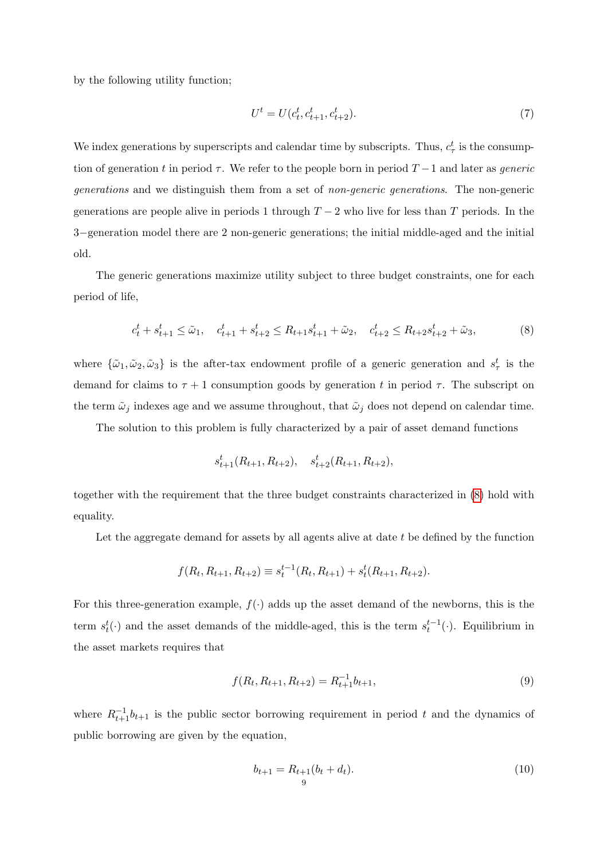by the following utility function;

<span id="page-10-0"></span>
$$
U^t = U(c_t^t, c_{t+1}^t, c_{t+2}^t). \tag{7}
$$

We index generations by superscripts and calendar time by subscripts. Thus,  $c_{\tau}^{t}$  is the consumption of generation t in period  $\tau$ . We refer to the people born in period  $T-1$  and later as *generic* generations and we distinguish them from a set of non-generic generations. The non-generic generations are people alive in periods 1 through  $T-2$  who live for less than T periods. In the 3−generation model there are 2 non-generic generations; the initial middle-aged and the initial old.

The generic generations maximize utility subject to three budget constraints, one for each period of life,

$$
c_t^t + s_{t+1}^t \le \tilde{\omega}_1, \quad c_{t+1}^t + s_{t+2}^t \le R_{t+1} s_{t+1}^t + \tilde{\omega}_2, \quad c_{t+2}^t \le R_{t+2} s_{t+2}^t + \tilde{\omega}_3,\tag{8}
$$

where  $\{\tilde{\omega}_1, \tilde{\omega}_2, \tilde{\omega}_3\}$  is the after-tax endowment profile of a generic generation and  $s^t_\tau$  is the demand for claims to  $\tau + 1$  consumption goods by generation t in period  $\tau$ . The subscript on the term  $\tilde{\omega}_j$  indexes age and we assume throughout, that  $\tilde{\omega}_j$  does not depend on calendar time.

The solution to this problem is fully characterized by a pair of asset demand functions

$$
s_{t+1}^t(R_{t+1}, R_{t+2}), \quad s_{t+2}^t(R_{t+1}, R_{t+2}),
$$

together with the requirement that the three budget constraints characterized in [\(8\)](#page-10-0) hold with equality.

Let the aggregate demand for assets by all agents alive at date  $t$  be defined by the function

$$
f(R_t, R_{t+1}, R_{t+2}) \equiv s_t^{t-1}(R_t, R_{t+1}) + s_t^t(R_{t+1}, R_{t+2}).
$$

For this three-generation example,  $f(\cdot)$  adds up the asset demand of the newborns, this is the term  $s_t^t(\cdot)$  and the asset demands of the middle-aged, this is the term  $s_t^{t-1}(\cdot)$ . Equilibrium in the asset markets requires that

<span id="page-10-1"></span>
$$
f(R_t, R_{t+1}, R_{t+2}) = R_{t+1}^{-1} b_{t+1},
$$
\n(9)

where  $R_{t+1}^{-1}b_{t+1}$  is the public sector borrowing requirement in period t and the dynamics of public borrowing are given by the equation,

<span id="page-10-2"></span>
$$
b_{t+1} = R_{t+1}(b_t + d_t).
$$
\n(10)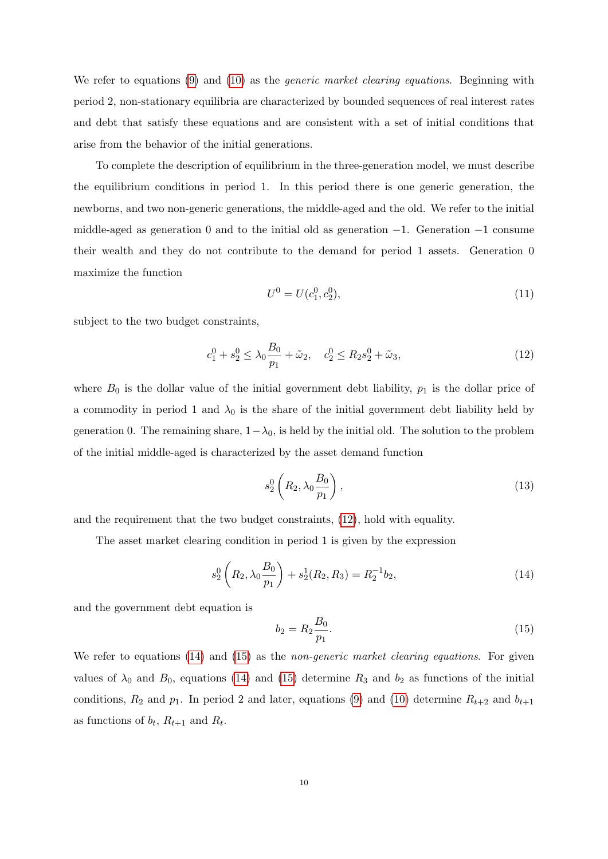We refer to equations [\(9\)](#page-10-1) and [\(10\)](#page-10-2) as the *generic market clearing equations*. Beginning with period 2, non-stationary equilibria are characterized by bounded sequences of real interest rates and debt that satisfy these equations and are consistent with a set of initial conditions that arise from the behavior of the initial generations.

To complete the description of equilibrium in the three-generation model, we must describe the equilibrium conditions in period 1. In this period there is one generic generation, the newborns, and two non-generic generations, the middle-aged and the old. We refer to the initial middle-aged as generation 0 and to the initial old as generation  $-1$ . Generation  $-1$  consume their wealth and they do not contribute to the demand for period 1 assets. Generation 0 maximize the function

<span id="page-11-0"></span>
$$
U^0 = U(c_1^0, c_2^0),\tag{11}
$$

subject to the two budget constraints,

$$
c_1^0 + s_2^0 \le \lambda_0 \frac{B_0}{p_1} + \tilde{\omega}_2, \quad c_2^0 \le R_2 s_2^0 + \tilde{\omega}_3,\tag{12}
$$

where  $B_0$  is the dollar value of the initial government debt liability,  $p_1$  is the dollar price of a commodity in period 1 and  $\lambda_0$  is the share of the initial government debt liability held by generation 0. The remaining share,  $1-\lambda_0$ , is held by the initial old. The solution to the problem of the initial middle-aged is characterized by the asset demand function

$$
s_2^0\left(R_2, \lambda_0 \frac{B_0}{p_1}\right),\tag{13}
$$

and the requirement that the two budget constraints, [\(12\)](#page-11-0), hold with equality.

The asset market clearing condition in period 1 is given by the expression

<span id="page-11-1"></span>
$$
s_2^0\left(R_2, \lambda_0 \frac{B_0}{p_1}\right) + s_2^1(R_2, R_3) = R_2^{-1}b_2,\tag{14}
$$

and the government debt equation is

<span id="page-11-2"></span>
$$
b_2 = R_2 \frac{B_0}{p_1}.\tag{15}
$$

We refer to equations [\(14\)](#page-11-1) and [\(15\)](#page-11-2) as the *non-generic market clearing equations*. For given values of  $\lambda_0$  and  $B_0$ , equations [\(14\)](#page-11-1) and [\(15\)](#page-11-2) determine  $R_3$  and  $b_2$  as functions of the initial conditions,  $R_2$  and  $p_1$ . In period 2 and later, equations [\(9\)](#page-10-1) and [\(10\)](#page-10-2) determine  $R_{t+2}$  and  $b_{t+1}$ as functions of  $b_t$ ,  $R_{t+1}$  and  $R_t$ .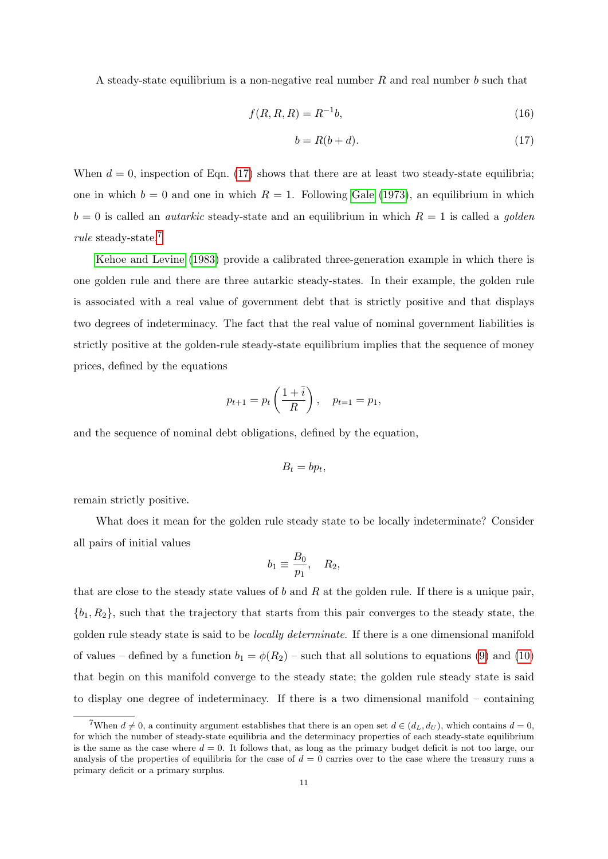A steady-state equilibrium is a non-negative real number R and real number b such that

$$
f(R, R, R) = R^{-1}b,
$$
\n(16)

<span id="page-12-0"></span>
$$
b = R(b + d). \tag{17}
$$

When  $d = 0$ , inspection of Eqn. [\(17\)](#page-12-0) shows that there are at least two steady-state equilibria; one in which  $b = 0$  and one in which  $R = 1$ . Following [Gale](#page-32-7) [\(1973\)](#page-32-7), an equilibrium in which  $b = 0$  is called an *autarkic* steady-state and an equilibrium in which  $R = 1$  is called a *golden* rule steady-state.[7](#page-12-1)

[Kehoe and Levine](#page-32-8) [\(1983\)](#page-32-8) provide a calibrated three-generation example in which there is one golden rule and there are three autarkic steady-states. In their example, the golden rule is associated with a real value of government debt that is strictly positive and that displays two degrees of indeterminacy. The fact that the real value of nominal government liabilities is strictly positive at the golden-rule steady-state equilibrium implies that the sequence of money prices, defined by the equations

$$
p_{t+1} = p_t \left( \frac{1 + \bar{i}}{R} \right), \quad p_{t=1} = p_1,
$$

and the sequence of nominal debt obligations, defined by the equation,

$$
B_t = bp_t,
$$

remain strictly positive.

What does it mean for the golden rule steady state to be locally indeterminate? Consider all pairs of initial values

$$
b_1 \equiv \frac{B_0}{p_1}, \quad R_2,
$$

that are close to the steady state values of b and R at the golden rule. If there is a unique pair,  ${b_1, R_2}$ , such that the trajectory that starts from this pair converges to the steady state, the golden rule steady state is said to be locally determinate. If there is a one dimensional manifold of values – defined by a function  $b_1 = \phi(R_2)$  – such that all solutions to equations [\(9\)](#page-10-1) and [\(10\)](#page-10-2) that begin on this manifold converge to the steady state; the golden rule steady state is said to display one degree of indeterminacy. If there is a two dimensional manifold – containing

<span id="page-12-1"></span><sup>&</sup>lt;sup>7</sup>When  $d \neq 0$ , a continuity argument establishes that there is an open set  $d \in (d_L, d_U)$ , which contains  $d = 0$ , for which the number of steady-state equilibria and the determinacy properties of each steady-state equilibrium is the same as the case where  $d = 0$ . It follows that, as long as the primary budget deficit is not too large, our analysis of the properties of equilibria for the case of  $d = 0$  carries over to the case where the treasury runs a primary deficit or a primary surplus.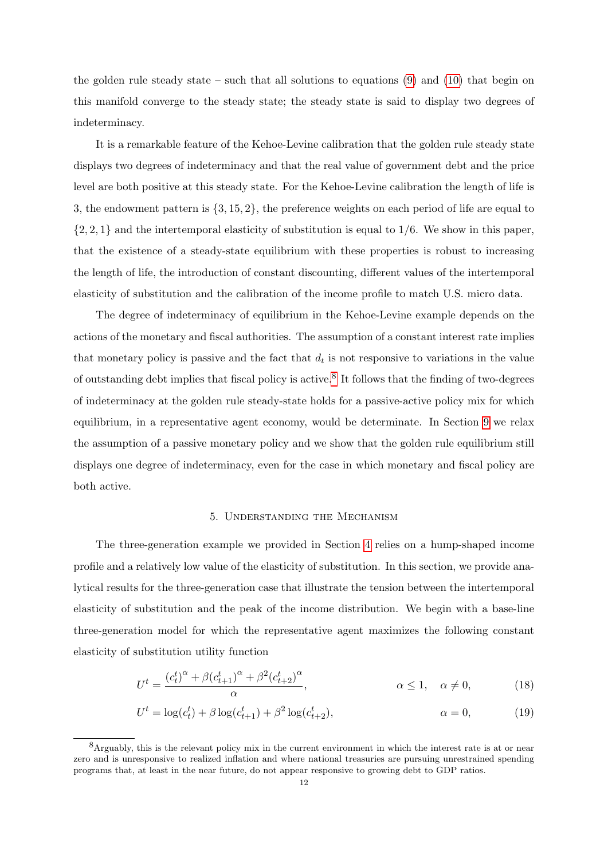the golden rule steady state – such that all solutions to equations  $(9)$  and  $(10)$  that begin on this manifold converge to the steady state; the steady state is said to display two degrees of indeterminacy.

It is a remarkable feature of the Kehoe-Levine calibration that the golden rule steady state displays two degrees of indeterminacy and that the real value of government debt and the price level are both positive at this steady state. For the Kehoe-Levine calibration the length of life is 3, the endowment pattern is {3, 15, 2}, the preference weights on each period of life are equal to  $\{2, 2, 1\}$  and the intertemporal elasticity of substitution is equal to  $1/6$ . We show in this paper, that the existence of a steady-state equilibrium with these properties is robust to increasing the length of life, the introduction of constant discounting, different values of the intertemporal elasticity of substitution and the calibration of the income profile to match U.S. micro data.

The degree of indeterminacy of equilibrium in the Kehoe-Levine example depends on the actions of the monetary and fiscal authorities. The assumption of a constant interest rate implies that monetary policy is passive and the fact that  $d_t$  is not responsive to variations in the value of outstanding debt implies that fiscal policy is active.<sup>[8](#page-13-1)</sup> It follows that the finding of two-degrees of indeterminacy at the golden rule steady-state holds for a passive-active policy mix for which equilibrium, in a representative agent economy, would be determinate. In Section [9](#page-26-0) we relax the assumption of a passive monetary policy and we show that the golden rule equilibrium still displays one degree of indeterminacy, even for the case in which monetary and fiscal policy are both active.

#### 5. Understanding the Mechanism

<span id="page-13-0"></span>The three-generation example we provided in Section [4](#page-9-3) relies on a hump-shaped income profile and a relatively low value of the elasticity of substitution. In this section, we provide analytical results for the three-generation case that illustrate the tension between the intertemporal elasticity of substitution and the peak of the income distribution. We begin with a base-line three-generation model for which the representative agent maximizes the following constant elasticity of substitution utility function

$$
U^t = \frac{(c_t^t)^{\alpha} + \beta (c_{t+1}^t)^{\alpha} + \beta^2 (c_{t+2}^t)^{\alpha}}{\alpha}, \qquad \alpha \le 1, \quad \alpha \ne 0,
$$
 (18)

$$
U^{t} = \log(c_{t}^{t}) + \beta \log(c_{t+1}^{t}) + \beta^{2} \log(c_{t+2}^{t}), \qquad \alpha = 0,
$$
\n(19)

<span id="page-13-1"></span><sup>8</sup>Arguably, this is the relevant policy mix in the current environment in which the interest rate is at or near zero and is unresponsive to realized inflation and where national treasuries are pursuing unrestrained spending programs that, at least in the near future, do not appear responsive to growing debt to GDP ratios.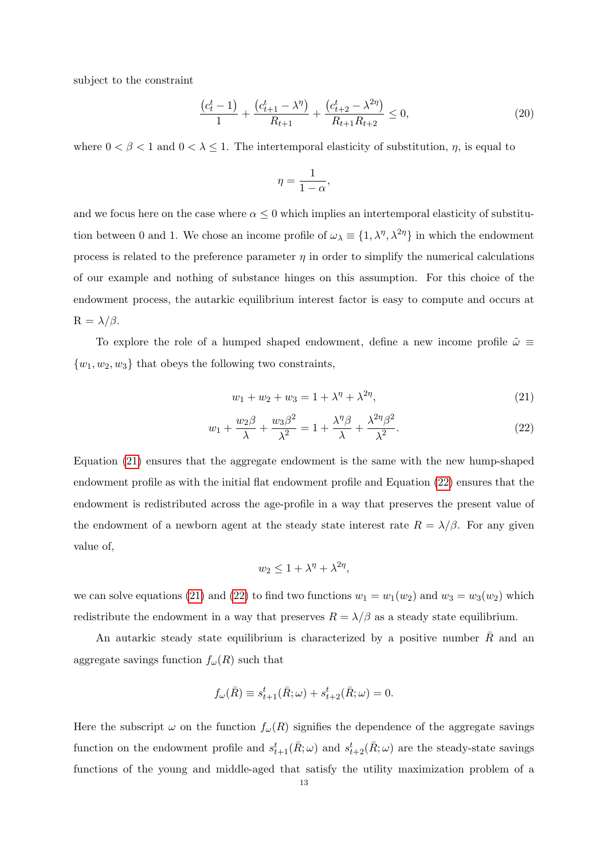subject to the constraint

$$
\frac{(c_t^t - 1)}{1} + \frac{(c_{t+1}^t - \lambda^{\eta})}{R_{t+1}} + \frac{(c_{t+2}^t - \lambda^{2\eta})}{R_{t+1}R_{t+2}} \le 0,\tag{20}
$$

where  $0 < \beta < 1$  and  $0 < \lambda \leq 1$ . The intertemporal elasticity of substitution,  $\eta$ , is equal to

$$
\eta=\frac{1}{1-\alpha},
$$

and we focus here on the case where  $\alpha \leq 0$  which implies an intertemporal elasticity of substitution between 0 and 1. We chose an income profile of  $\omega_{\lambda} \equiv \{1, \lambda^{\eta}, \lambda^{2\eta}\}\$  in which the endowment process is related to the preference parameter  $\eta$  in order to simplify the numerical calculations of our example and nothing of substance hinges on this assumption. For this choice of the endowment process, the autarkic equilibrium interest factor is easy to compute and occurs at  $R = \lambda/\beta$ .

To explore the role of a humped shaped endowment, define a new income profile  $\tilde{\omega} \equiv$  $\{w_1, w_2, w_3\}$  that obeys the following two constraints,

<span id="page-14-1"></span><span id="page-14-0"></span>
$$
w_1 + w_2 + w_3 = 1 + \lambda^{\eta} + \lambda^{2\eta},\tag{21}
$$

$$
w_1 + \frac{w_2 \beta}{\lambda} + \frac{w_3 \beta^2}{\lambda^2} = 1 + \frac{\lambda^{\eta} \beta}{\lambda} + \frac{\lambda^{2\eta} \beta^2}{\lambda^2}.
$$
 (22)

Equation [\(21\)](#page-14-0) ensures that the aggregate endowment is the same with the new hump-shaped endowment profile as with the initial flat endowment profile and Equation [\(22\)](#page-14-1) ensures that the endowment is redistributed across the age-profile in a way that preserves the present value of the endowment of a newborn agent at the steady state interest rate  $R = \lambda/\beta$ . For any given value of,

$$
w_2 \le 1 + \lambda^{\eta} + \lambda^{2\eta},
$$

we can solve equations [\(21\)](#page-14-0) and [\(22\)](#page-14-1) to find two functions  $w_1 = w_1(w_2)$  and  $w_3 = w_3(w_2)$  which redistribute the endowment in a way that preserves  $R = \lambda/\beta$  as a steady state equilibrium.

An autarkic steady state equilibrium is characterized by a positive number  $R$  and an aggregate savings function  $f_{\omega}(R)$  such that

$$
f_{\omega}(\bar{R}) \equiv s_{t+1}^t(\bar{R}; \omega) + s_{t+2}^t(\bar{R}; \omega) = 0.
$$

Here the subscript  $\omega$  on the function  $f_{\omega}(R)$  signifies the dependence of the aggregate savings function on the endowment profile and  $s_{t+1}^t(\bar{R}; \omega)$  and  $s_{t+2}^t(\bar{R}; \omega)$  are the steady-state savings functions of the young and middle-aged that satisfy the utility maximization problem of a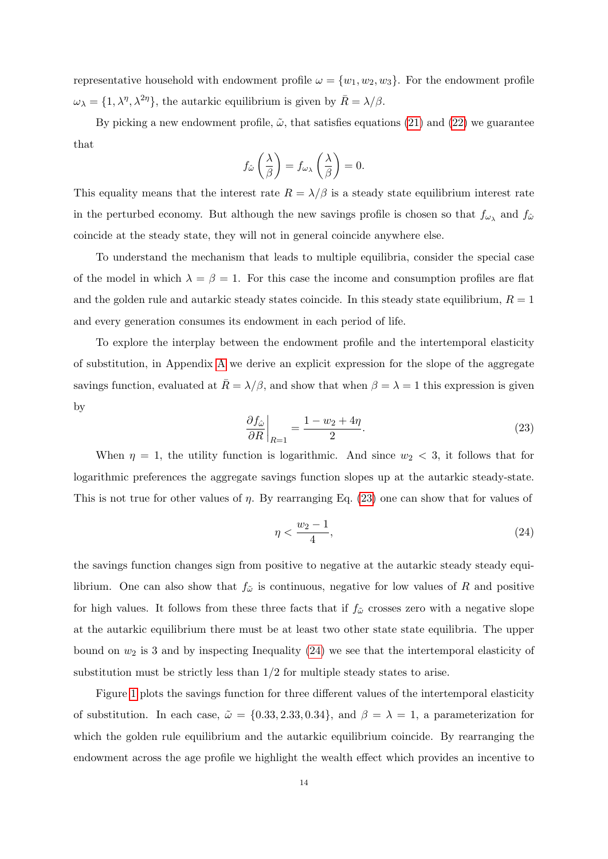representative household with endowment profile  $\omega = \{w_1, w_2, w_3\}$ . For the endowment profile  $\omega_{\lambda} = \{1, \lambda^{\eta}, \lambda^{2\eta}\},\$  the autarkic equilibrium is given by  $\bar{R} = \lambda/\beta$ .

By picking a new endowment profile,  $\tilde{\omega}$ , that satisfies equations [\(21\)](#page-14-0) and [\(22\)](#page-14-1) we guarantee that

$$
f_{\hat{\omega}}\left(\frac{\lambda}{\beta}\right) = f_{\omega_{\lambda}}\left(\frac{\lambda}{\beta}\right) = 0.
$$

This equality means that the interest rate  $R = \lambda/\beta$  is a steady state equilibrium interest rate in the perturbed economy. But although the new savings profile is chosen so that  $f_{\omega_{\lambda}}$  and  $f_{\hat{\omega}}$ coincide at the steady state, they will not in general coincide anywhere else.

To understand the mechanism that leads to multiple equilibria, consider the special case of the model in which  $\lambda = \beta = 1$ . For this case the income and consumption profiles are flat and the golden rule and autarkic steady states coincide. In this steady state equilibrium,  $R = 1$ and every generation consumes its endowment in each period of life.

To explore the interplay between the endowment profile and the intertemporal elasticity of substitution, in Appendix [A](#page-34-0) we derive an explicit expression for the slope of the aggregate savings function, evaluated at  $\bar{R} = \lambda/\beta$ , and show that when  $\beta = \lambda = 1$  this expression is given by

<span id="page-15-0"></span>
$$
\left. \frac{\partial f_{\hat{\omega}}}{\partial R} \right|_{R=1} = \frac{1 - w_2 + 4\eta}{2}.
$$
\n(23)

When  $\eta = 1$ , the utility function is logarithmic. And since  $w_2 < 3$ , it follows that for logarithmic preferences the aggregate savings function slopes up at the autarkic steady-state. This is not true for other values of  $\eta$ . By rearranging Eq. [\(23\)](#page-15-0) one can show that for values of

<span id="page-15-1"></span>
$$
\eta < \frac{w_2 - 1}{4},\tag{24}
$$

the savings function changes sign from positive to negative at the autarkic steady steady equilibrium. One can also show that  $f_{\tilde{\omega}}$  is continuous, negative for low values of R and positive for high values. It follows from these three facts that if  $f_{\tilde{\omega}}$  crosses zero with a negative slope at the autarkic equilibrium there must be at least two other state state equilibria. The upper bound on  $w_2$  is 3 and by inspecting Inequality [\(24\)](#page-15-1) we see that the intertemporal elasticity of substitution must be strictly less than  $1/2$  for multiple steady states to arise.

Figure [1](#page-16-0) plots the savings function for three different values of the intertemporal elasticity of substitution. In each case,  $\tilde{\omega} = \{0.33, 2.33, 0.34\}$ , and  $\beta = \lambda = 1$ , a parameterization for which the golden rule equilibrium and the autarkic equilibrium coincide. By rearranging the endowment across the age profile we highlight the wealth effect which provides an incentive to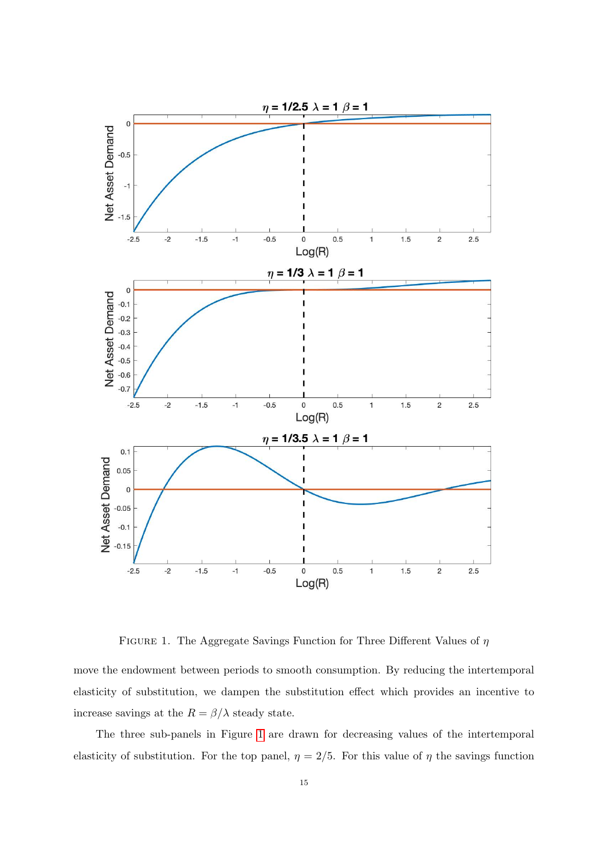<span id="page-16-0"></span>

FIGURE 1. The Aggregate Savings Function for Three Different Values of  $\eta$ 

move the endowment between periods to smooth consumption. By reducing the intertemporal elasticity of substitution, we dampen the substitution effect which provides an incentive to increase savings at the  $R = \beta/\lambda$  steady state.

The three sub-panels in Figure [1](#page-16-0) are drawn for decreasing values of the intertemporal elasticity of substitution. For the top panel,  $\eta = 2/5$ . For this value of  $\eta$  the savings function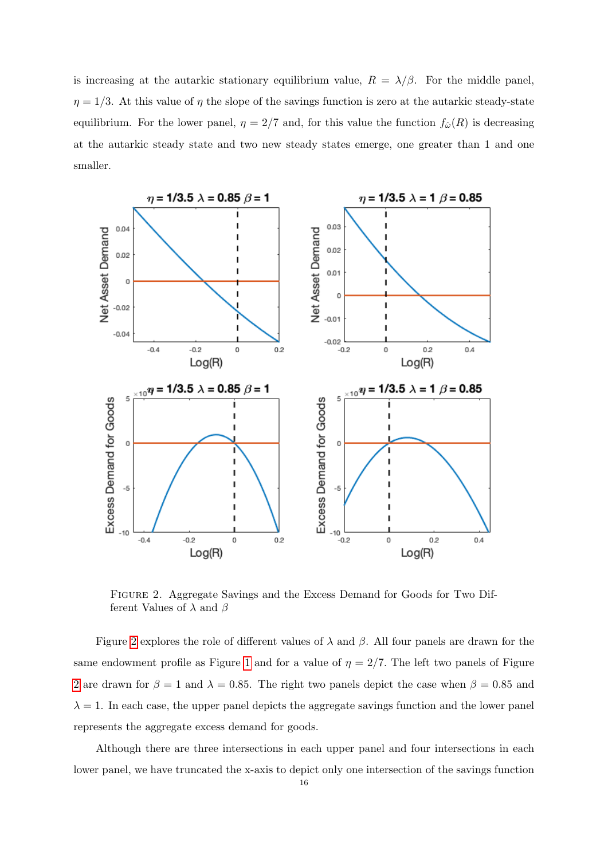is increasing at the autarkic stationary equilibrium value,  $R = \lambda/\beta$ . For the middle panel,  $\eta = 1/3$ . At this value of  $\eta$  the slope of the savings function is zero at the autarkic steady-state equilibrium. For the lower panel,  $\eta = 2/7$  and, for this value the function  $f_{\hat{\omega}}(R)$  is decreasing at the autarkic steady state and two new steady states emerge, one greater than 1 and one smaller.

<span id="page-17-0"></span>

Figure 2. Aggregate Savings and the Excess Demand for Goods for Two Different Values of  $\lambda$  and  $\beta$ 

Figure [2](#page-17-0) explores the role of different values of  $\lambda$  and  $\beta$ . All four panels are drawn for the same endowment profile as Figure [1](#page-16-0) and for a value of  $\eta = 2/7$ . The left two panels of Figure [2](#page-17-0) are drawn for  $\beta = 1$  and  $\lambda = 0.85$ . The right two panels depict the case when  $\beta = 0.85$  and  $\lambda = 1$ . In each case, the upper panel depicts the aggregate savings function and the lower panel represents the aggregate excess demand for goods.

Although there are three intersections in each upper panel and four intersections in each lower panel, we have truncated the x-axis to depict only one intersection of the savings function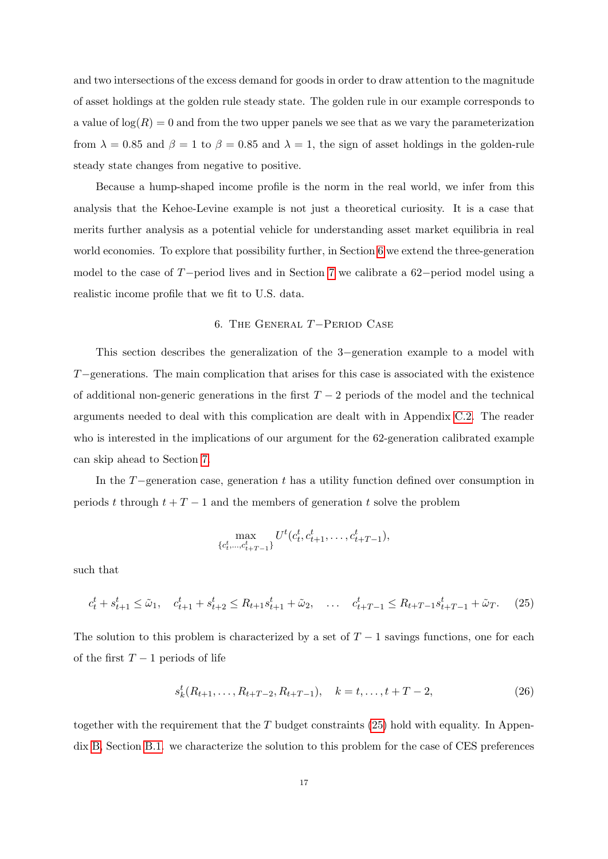and two intersections of the excess demand for goods in order to draw attention to the magnitude of asset holdings at the golden rule steady state. The golden rule in our example corresponds to a value of  $\log(R) = 0$  and from the two upper panels we see that as we vary the parameterization from  $\lambda = 0.85$  and  $\beta = 1$  to  $\beta = 0.85$  and  $\lambda = 1$ , the sign of asset holdings in the golden-rule steady state changes from negative to positive.

Because a hump-shaped income profile is the norm in the real world, we infer from this analysis that the Kehoe-Levine example is not just a theoretical curiosity. It is a case that merits further analysis as a potential vehicle for understanding asset market equilibria in real world economies. To explore that possibility further, in Section [6](#page-18-0) we extend the three-generation model to the case of T−period lives and in Section [7](#page-20-0) we calibrate a 62−period model using a realistic income profile that we fit to U.S. data.

# 6. The General T−Period Case

<span id="page-18-0"></span>This section describes the generalization of the 3−generation example to a model with T−generations. The main complication that arises for this case is associated with the existence of additional non-generic generations in the first  $T-2$  periods of the model and the technical arguments needed to deal with this complication are dealt with in Appendix [C.2.](#page-38-0) The reader who is interested in the implications of our argument for the 62-generation calibrated example can skip ahead to Section [7.](#page-20-0)

In the T−generation case, generation t has a utility function defined over consumption in periods t through  $t + T - 1$  and the members of generation t solve the problem

<span id="page-18-1"></span>
$$
\max_{\{c_t^t, \dots, c_{t+T-1}^t\}} U^t(c_t^t, c_{t+1}^t, \dots, c_{t+T-1}^t),
$$

such that

$$
c_t^t + s_{t+1}^t \le \tilde{\omega}_1, \quad c_{t+1}^t + s_{t+2}^t \le R_{t+1} s_{t+1}^t + \tilde{\omega}_2, \quad \dots \quad c_{t+T-1}^t \le R_{t+T-1} s_{t+T-1}^t + \tilde{\omega}_T. \tag{25}
$$

The solution to this problem is characterized by a set of  $T-1$  savings functions, one for each of the first  $T-1$  periods of life

<span id="page-18-2"></span>
$$
s_k^t(R_{t+1},\ldots,R_{t+T-2},R_{t+T-1}), \quad k=t,\ldots,t+T-2,
$$
\n(26)

together with the requirement that the  $T$  budget constraints [\(25\)](#page-18-1) hold with equality. In Appendix [B,](#page-36-0) Section [B.1.](#page-36-1) we characterize the solution to this problem for the case of CES preferences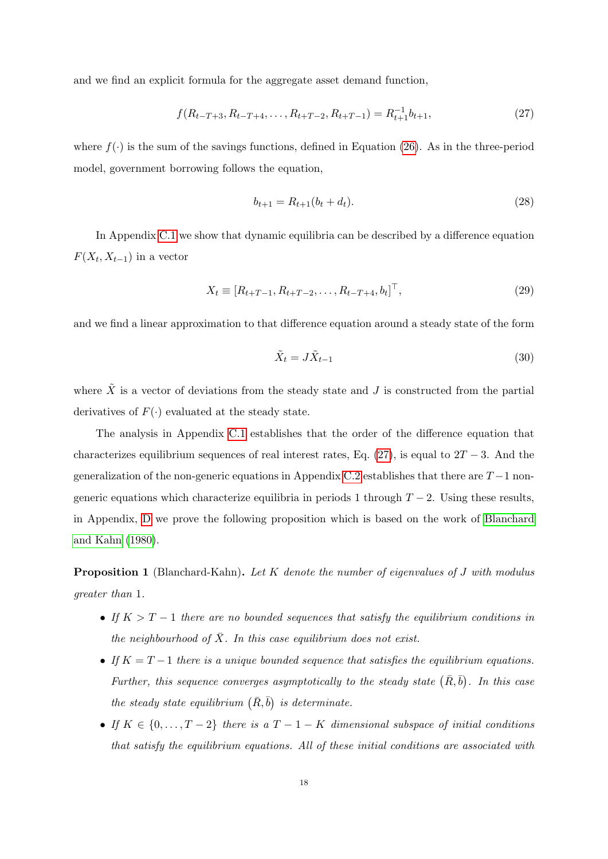and we find an explicit formula for the aggregate asset demand function,

<span id="page-19-0"></span>
$$
f(R_{t-T+3}, R_{t-T+4}, \dots, R_{t+T-2}, R_{t+T-1}) = R_{t+1}^{-1} b_{t+1},
$$
\n(27)

where  $f(\cdot)$  is the sum of the savings functions, defined in Equation [\(26\)](#page-18-2). As in the three-period model, government borrowing follows the equation,

$$
b_{t+1} = R_{t+1}(b_t + d_t). \tag{28}
$$

In Appendix [C.1](#page-37-0) we show that dynamic equilibria can be described by a difference equation  $F(X_t, X_{t-1})$  in a vector

$$
X_t \equiv [R_{t+T-1}, R_{t+T-2}, \dots, R_{t-T+4}, b_t]^\top,
$$
\n(29)

and we find a linear approximation to that difference equation around a steady state of the form

$$
\tilde{X}_t = J\tilde{X}_{t-1} \tag{30}
$$

where  $\tilde{X}$  is a vector of deviations from the steady state and J is constructed from the partial derivatives of  $F(\cdot)$  evaluated at the steady state.

The analysis in Appendix [C.1](#page-37-0) establishes that the order of the difference equation that characterizes equilibrium sequences of real interest rates, Eq. [\(27\)](#page-19-0), is equal to  $2T - 3$ . And the generalization of the non-generic equations in Appendix [C.2](#page-38-0) establishes that there are  $T-1$  nongeneric equations which characterize equilibria in periods 1 through  $T - 2$ . Using these results, in Appendix, [D](#page-40-0) we prove the following proposition which is based on the work of [Blanchard](#page-31-11) [and Kahn](#page-31-11) [\(1980\)](#page-31-11).

<span id="page-19-1"></span>**Proposition 1** (Blanchard-Kahn). Let K denote the number of eigenvalues of J with modulus greater than 1.

- If  $K > T 1$  there are no bounded sequences that satisfy the equilibrium conditions in the neighbourhood of  $\overline{X}$ . In this case equilibrium does not exist.
- If  $K = T 1$  there is a unique bounded sequence that satisfies the equilibrium equations. Further, this sequence converges asymptotically to the steady state  $(\bar{R}, \bar{b})$ . In this case the steady state equilibrium  $(\bar{R}, \bar{b})$  is determinate.
- If  $K \in \{0, \ldots, T-2\}$  there is a  $T-1-K$  dimensional subspace of initial conditions that satisfy the equilibrium equations. All of these initial conditions are associated with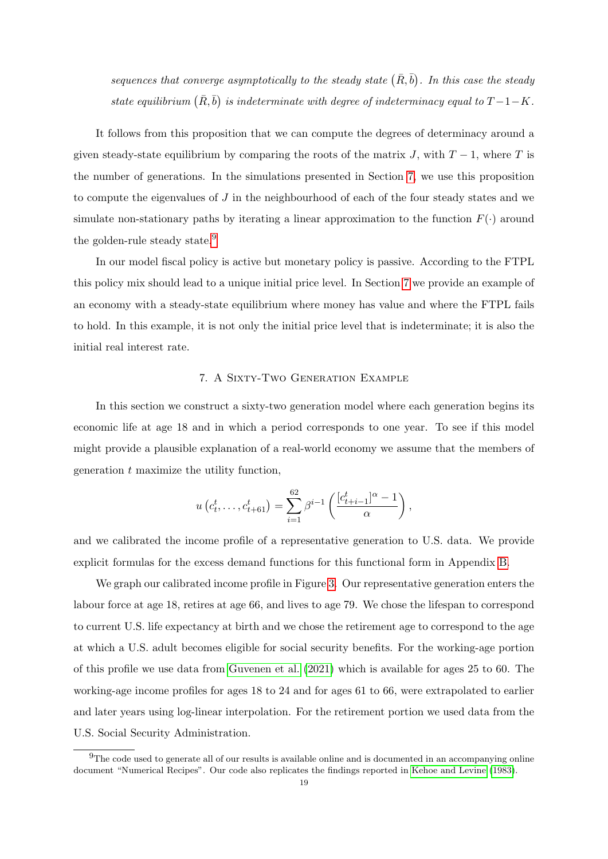sequences that converge asymptotically to the steady state  $(\bar{R}, \bar{b})$ . In this case the steady state equilibrium  $(\bar{R}, \bar{b})$  is indeterminate with degree of indeterminacy equal to  $T - 1 - K$ .

It follows from this proposition that we can compute the degrees of determinacy around a given steady-state equilibrium by comparing the roots of the matrix J, with  $T-1$ , where T is the number of generations. In the simulations presented in Section [7,](#page-20-0) we use this proposition to compute the eigenvalues of J in the neighbourhood of each of the four steady states and we simulate non-stationary paths by iterating a linear approximation to the function  $F(\cdot)$  around the golden-rule steady state.<sup>[9](#page-20-1)</sup>

In our model fiscal policy is active but monetary policy is passive. According to the FTPL this policy mix should lead to a unique initial price level. In Section [7](#page-20-0) we provide an example of an economy with a steady-state equilibrium where money has value and where the FTPL fails to hold. In this example, it is not only the initial price level that is indeterminate; it is also the initial real interest rate.

### 7. A Sixty-Two Generation Example

<span id="page-20-0"></span>In this section we construct a sixty-two generation model where each generation begins its economic life at age 18 and in which a period corresponds to one year. To see if this model might provide a plausible explanation of a real-world economy we assume that the members of generation t maximize the utility function,

$$
u(c_t^t, \ldots, c_{t+61}^t) = \sum_{i=1}^{62} \beta^{i-1} \left( \frac{[c_{t+i-1}^t]^{\alpha} - 1}{\alpha} \right),
$$

and we calibrated the income profile of a representative generation to U.S. data. We provide explicit formulas for the excess demand functions for this functional form in Appendix [B.](#page-36-0)

We graph our calibrated income profile in Figure [3.](#page-21-0) Our representative generation enters the labour force at age 18, retires at age 66, and lives to age 79. We chose the lifespan to correspond to current U.S. life expectancy at birth and we chose the retirement age to correspond to the age at which a U.S. adult becomes eligible for social security benefits. For the working-age portion of this profile we use data from [Guvenen et al.](#page-32-14) [\(2021\)](#page-32-14) which is available for ages 25 to 60. The working-age income profiles for ages 18 to 24 and for ages 61 to 66, were extrapolated to earlier and later years using log-linear interpolation. For the retirement portion we used data from the U.S. Social Security Administration.

<span id="page-20-1"></span> $9$ The code used to generate all of our results is available online and is documented in an accompanying online document "Numerical Recipes". Our code also replicates the findings reported in [Kehoe and Levine](#page-32-8) [\(1983\)](#page-32-8).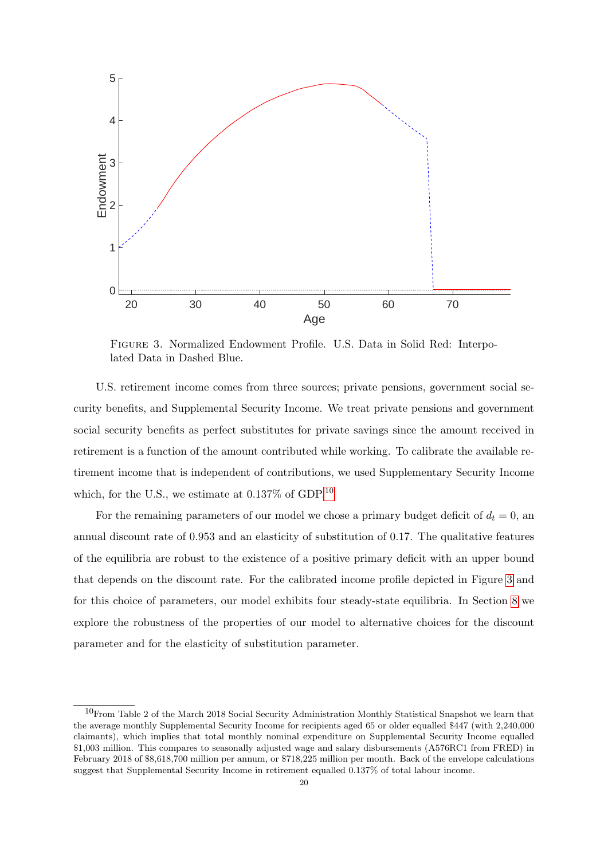<span id="page-21-0"></span>

Figure 3. Normalized Endowment Profile. U.S. Data in Solid Red: Interpolated Data in Dashed Blue.

U.S. retirement income comes from three sources; private pensions, government social security benefits, and Supplemental Security Income. We treat private pensions and government social security benefits as perfect substitutes for private savings since the amount received in retirement is a function of the amount contributed while working. To calibrate the available retirement income that is independent of contributions, we used Supplementary Security Income which, for the U.S., we estimate at  $0.137\%$  of GDP.<sup>[10](#page-21-1)</sup>

For the remaining parameters of our model we chose a primary budget deficit of  $d_t = 0$ , and annual discount rate of 0.953 and an elasticity of substitution of 0.17. The qualitative features of the equilibria are robust to the existence of a positive primary deficit with an upper bound that depends on the discount rate. For the calibrated income profile depicted in Figure [3](#page-21-0) and for this choice of parameters, our model exhibits four steady-state equilibria. In Section [8](#page-24-0) we explore the robustness of the properties of our model to alternative choices for the discount parameter and for the elasticity of substitution parameter.

<span id="page-21-1"></span> $10$ From Table 2 of the March 2018 Social Security Administration Monthly Statistical Snapshot we learn that the average monthly Supplemental Security Income for recipients aged 65 or older equalled \$447 (with 2,240,000 claimants), which implies that total monthly nominal expenditure on Supplemental Security Income equalled \$1,003 million. This compares to seasonally adjusted wage and salary disbursements (A576RC1 from FRED) in February 2018 of \$8,618,700 million per annum, or \$718,225 million per month. Back of the envelope calculations suggest that Supplemental Security Income in retirement equalled 0.137% of total labour income.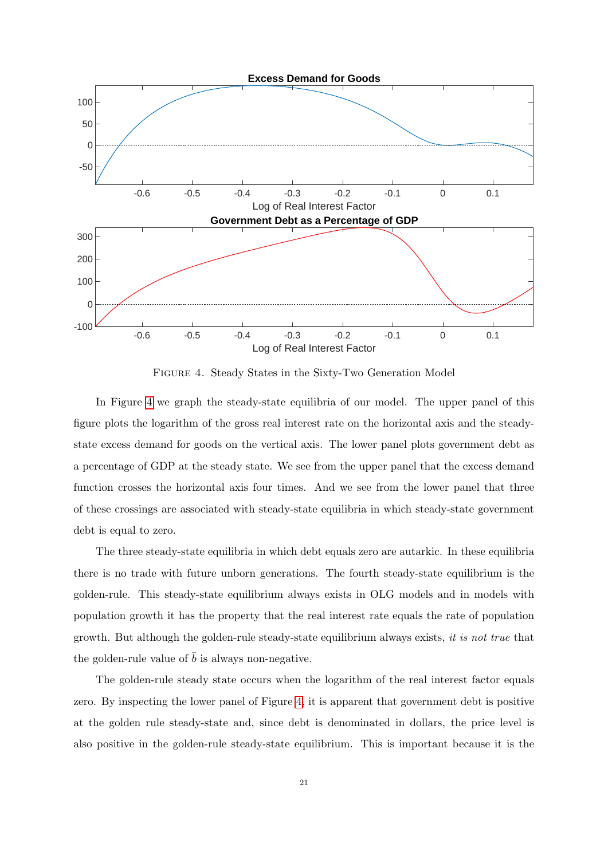<span id="page-22-0"></span>

Figure 4. Steady States in the Sixty-Two Generation Model

In Figure [4](#page-22-0) we graph the steady-state equilibria of our model. The upper panel of this figure plots the logarithm of the gross real interest rate on the horizontal axis and the steadystate excess demand for goods on the vertical axis. The lower panel plots government debt as a percentage of GDP at the steady state. We see from the upper panel that the excess demand function crosses the horizontal axis four times. And we see from the lower panel that three of these crossings are associated with steady-state equilibria in which steady-state government debt is equal to zero.

The three steady-state equilibria in which debt equals zero are autarkic. In these equilibria there is no trade with future unborn generations. The fourth steady-state equilibrium is the golden-rule. This steady-state equilibrium always exists in OLG models and in models with population growth it has the property that the real interest rate equals the rate of population growth. But although the golden-rule steady-state equilibrium always exists, it is not true that the golden-rule value of  $\bar{b}$  is always non-negative.

The golden-rule steady state occurs when the logarithm of the real interest factor equals zero. By inspecting the lower panel of Figure [4,](#page-22-0) it is apparent that government debt is positive at the golden rule steady-state and, since debt is denominated in dollars, the price level is also positive in the golden-rule steady-state equilibrium. This is important because it is the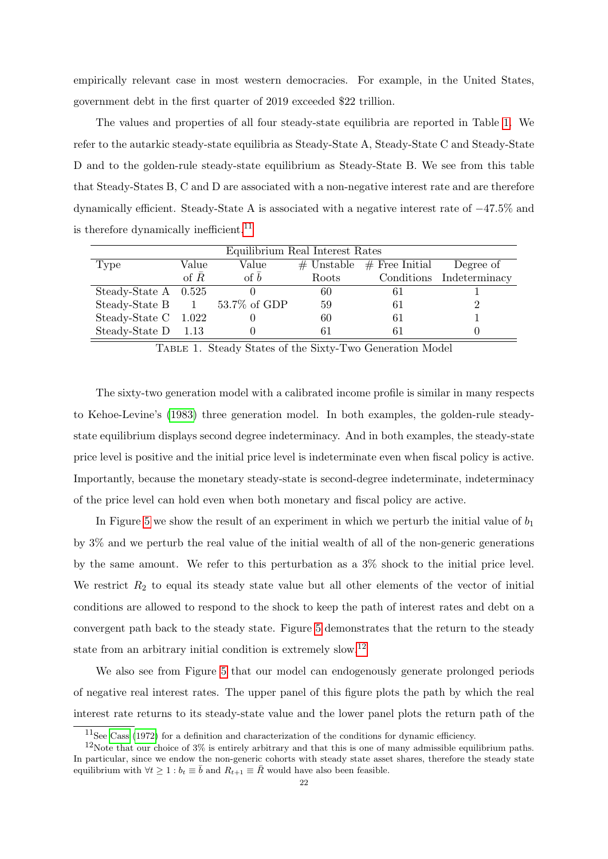empirically relevant case in most western democracies. For example, in the United States, government debt in the first quarter of 2019 exceeded \$22 trillion.

The values and properties of all four steady-state equilibria are reported in Table [1.](#page-23-0) We refer to the autarkic steady-state equilibria as Steady-State A, Steady-State C and Steady-State D and to the golden-rule steady-state equilibrium as Steady-State B. We see from this table that Steady-States B, C and D are associated with a non-negative interest rate and are therefore dynamically efficient. Steady-State A is associated with a negative interest rate of −47.5% and is therefore dynamically inefficient.<sup>[11](#page-23-1)</sup>

<span id="page-23-0"></span>

| Equilibrium Real Interest Rates |              |              |       |                                 |                          |  |  |  |  |  |  |  |
|---------------------------------|--------------|--------------|-------|---------------------------------|--------------------------|--|--|--|--|--|--|--|
| Type                            | Value        | Value        |       | $\#$ Unstable $\#$ Free Initial | Degree of                |  |  |  |  |  |  |  |
|                                 | of $\bar{R}$ | of $\bar{b}$ | Roots |                                 | Conditions Indeterminacy |  |  |  |  |  |  |  |
| Steady-State $A \quad 0.525$    |              |              | 60    |                                 |                          |  |  |  |  |  |  |  |
| Steady-State B 1 53.7% of GDP   |              |              | 59    | 61                              |                          |  |  |  |  |  |  |  |
| Steady-State C 1.022            |              |              | 60    | 61                              |                          |  |  |  |  |  |  |  |
| Steady-State $D$ 1.13           |              |              |       |                                 |                          |  |  |  |  |  |  |  |

Table 1. Steady States of the Sixty-Two Generation Model

The sixty-two generation model with a calibrated income profile is similar in many respects to Kehoe-Levine's [\(1983\)](#page-32-8) three generation model. In both examples, the golden-rule steadystate equilibrium displays second degree indeterminacy. And in both examples, the steady-state price level is positive and the initial price level is indeterminate even when fiscal policy is active. Importantly, because the monetary steady-state is second-degree indeterminate, indeterminacy of the price level can hold even when both monetary and fiscal policy are active.

In Figure [5](#page-24-1) we show the result of an experiment in which we perturb the initial value of  $b_1$ by 3% and we perturb the real value of the initial wealth of all of the non-generic generations by the same amount. We refer to this perturbation as a 3% shock to the initial price level. We restrict  $R_2$  to equal its steady state value but all other elements of the vector of initial conditions are allowed to respond to the shock to keep the path of interest rates and debt on a convergent path back to the steady state. Figure [5](#page-24-1) demonstrates that the return to the steady state from an arbitrary initial condition is extremely slow.[12](#page-23-2)

We also see from Figure [5](#page-24-1) that our model can endogenously generate prolonged periods of negative real interest rates. The upper panel of this figure plots the path by which the real interest rate returns to its steady-state value and the lower panel plots the return path of the

<span id="page-23-2"></span><span id="page-23-1"></span><sup>11</sup>See [Cass](#page-31-12) [\(1972\)](#page-31-12) for a definition and characterization of the conditions for dynamic efficiency.

 $12$ Note that our choice of 3% is entirely arbitrary and that this is one of many admissible equilibrium paths. In particular, since we endow the non-generic cohorts with steady state asset shares, therefore the steady state equilibrium with  $\forall t \geq 1 : b_t \equiv \overline{b}$  and  $R_{t+1} \equiv \overline{R}$  would have also been feasible.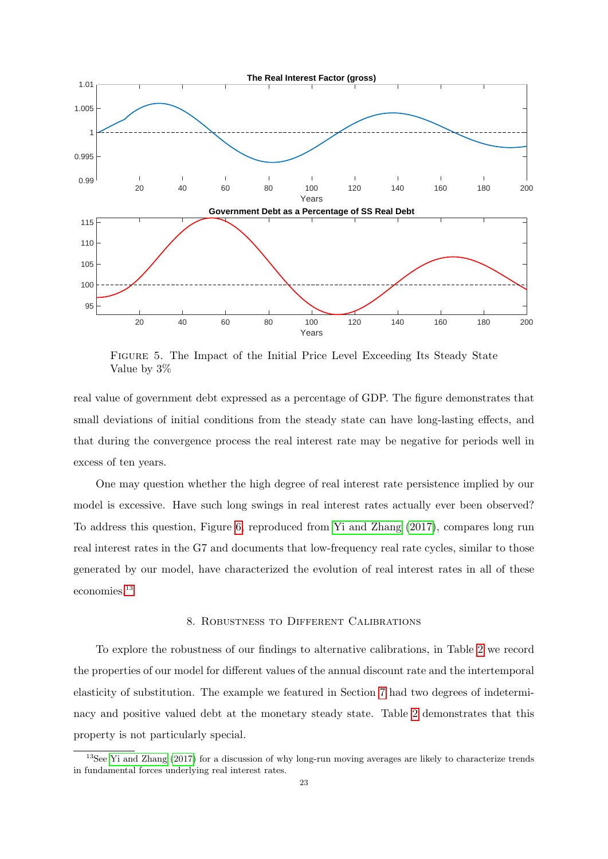<span id="page-24-1"></span>

Figure 5. The Impact of the Initial Price Level Exceeding Its Steady State Value by 3%

real value of government debt expressed as a percentage of GDP. The figure demonstrates that small deviations of initial conditions from the steady state can have long-lasting effects, and that during the convergence process the real interest rate may be negative for periods well in excess of ten years.

One may question whether the high degree of real interest rate persistence implied by our model is excessive. Have such long swings in real interest rates actually ever been observed? To address this question, Figure [6,](#page-25-0) reproduced from [Yi and Zhang](#page-33-12) [\(2017\)](#page-33-12), compares long run real interest rates in the G7 and documents that low-frequency real rate cycles, similar to those generated by our model, have characterized the evolution of real interest rates in all of these economies.[13](#page-24-2)

# 8. Robustness to Different Calibrations

<span id="page-24-0"></span>To explore the robustness of our findings to alternative calibrations, in Table [2](#page-25-1) we record the properties of our model for different values of the annual discount rate and the intertemporal elasticity of substitution. The example we featured in Section [7](#page-20-0) had two degrees of indeterminacy and positive valued debt at the monetary steady state. Table [2](#page-25-1) demonstrates that this property is not particularly special.

<span id="page-24-2"></span><sup>&</sup>lt;sup>13</sup>See [Yi and Zhang](#page-33-12) [\(2017\)](#page-33-12) for a discussion of why long-run moving averages are likely to characterize trends in fundamental forces underlying real interest rates.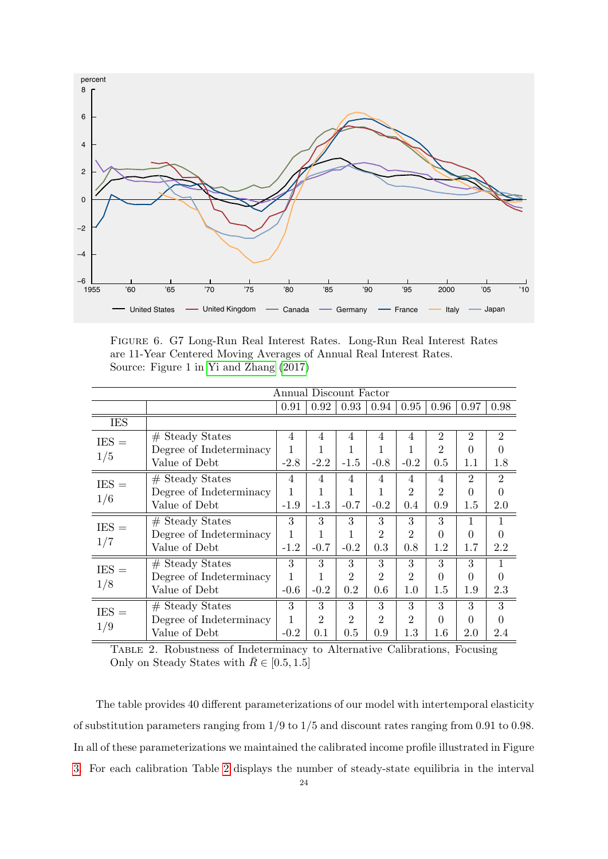<span id="page-25-0"></span>

FIGURE 6. G7 Long-Run Real Interest Rates. Long-Run Real Interest Rates are 11-Year Centered Moving Averages of Annual Real Interest Rates. Source: Figure 1 in [Yi and Zhang](#page-33-12) [\(2017\)](#page-33-12)

<span id="page-25-1"></span>

|                | Annual Discount Factor  |        |                |                |                |                |                |                |                |  |
|----------------|-------------------------|--------|----------------|----------------|----------------|----------------|----------------|----------------|----------------|--|
|                |                         | 0.91   | 0.92           | 0.93           | 0.94           | 0.95           | 0.96           | 0.97           | 0.98           |  |
| <b>IES</b>     |                         |        |                |                |                |                |                |                |                |  |
| $IES =$<br>1/5 | $#$ Steady States       | 4      | 4              | 4              | 4              | 4              | $\overline{2}$ | 2              | $\overline{2}$ |  |
|                | Degree of Indeterminacy |        |                |                |                |                | $\overline{2}$ | $\Omega$       | $\Omega$       |  |
|                | Value of Debt           | $-2.8$ | $-2.2$         | $-1.5$         | $-0.8$         | $-0.2$         | 0.5            | 1.1            | 1.8            |  |
| $IES =$<br>1/6 | $#$ Steady States       | 4      | $\overline{4}$ | 4              | 4              | 4              | $\overline{4}$ | $\overline{2}$ | $\overline{2}$ |  |
|                | Degree of Indeterminacy |        |                |                |                | 2              | $\overline{2}$ | 0              | $\theta$       |  |
|                | Value of Debt           | $-1.9$ | $-1.3$         | $-0.7$         | $-0.2$         | 0.4            | 0.9            | 1.5            | 2.0            |  |
| $IES =$<br>1/7 | $#$ Steady States       | 3      | 3              | 3              | 3              | 3              | $\overline{3}$ |                |                |  |
|                | Degree of Indeterminacy |        |                |                | $\overline{2}$ | 2              | 0              | 0              | $\theta$       |  |
|                | Value of Debt           | $-1.2$ | $-0.7$         | $-0.2$         | 0.3            | 0.8            | $1.2\,$        | 1.7            | 2.2            |  |
| $IES =$<br>1/8 | $#$ Steady States       | 3      | 3              | 3              | 3              | 3              | 3              | 3              | $\mathbf{1}$   |  |
|                | Degree of Indeterminacy |        |                | 2              | $\overline{2}$ | $\overline{2}$ | 0              | 0              | $\Omega$       |  |
|                | Value of Debt           | $-0.6$ | $-0.2$         | $0.2\,$        | 0.6            | 1.0            | $1.5\,$        | 1.9            | 2.3            |  |
| $IES =$<br>1/9 | $#$ Steady States       | 3      | 3              | 3              | 3              | 3              | 3              | 3              | 3              |  |
|                | Degree of Indeterminacy |        | $\overline{2}$ | $\overline{2}$ | $\overline{2}$ | $\overline{2}$ | 0              | $\Omega$       | $\Omega$       |  |
|                | Value of Debt           | $-0.2$ | 0.1            | 0.5            | 0.9            | 1.3            | 1.6            | 2.0            | 2.4            |  |

TABLE 2. Robustness of Indeterminacy to Alternative Calibrations, Focusing Only on Steady States with  $\bar{R} \in [0.5, 1.5]$ 

[3.](#page-21-0) For each calibration Table [2](#page-25-1) displays the number of steady-state equilibria in the interval The table provides 40 different parameterizations of our model with intertemporal elasticity The table provides 40 different parameterizations of our model with intertemporal elasticity<br>of substitution parameters ranging from  $1/9$  to  $1/5$  and discount rates ranging from 0.91 to 0.98. In all of these parameterizations we maintained the calibrated income profile illustrated in Figure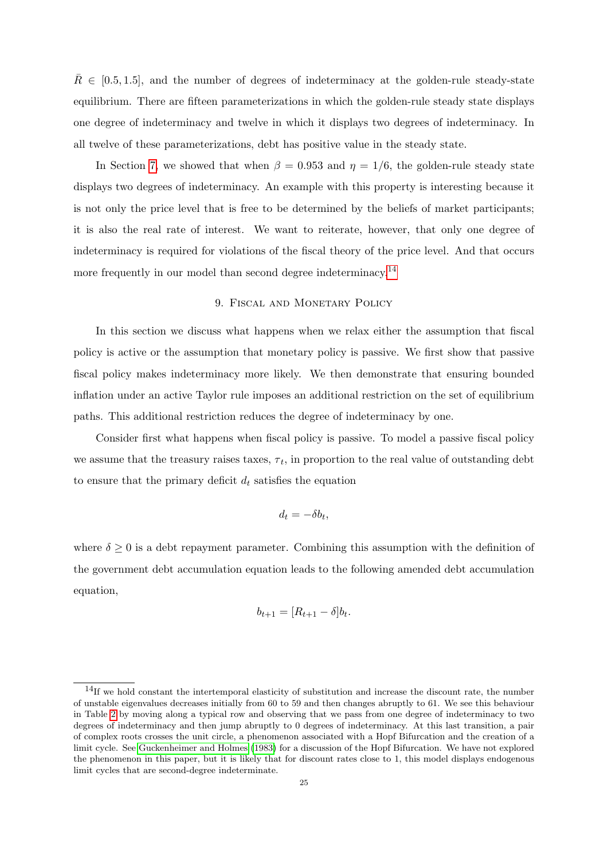$R \in [0.5, 1.5]$ , and the number of degrees of indeterminacy at the golden-rule steady-state equilibrium. There are fifteen parameterizations in which the golden-rule steady state displays one degree of indeterminacy and twelve in which it displays two degrees of indeterminacy. In all twelve of these parameterizations, debt has positive value in the steady state.

In Section [7,](#page-20-0) we showed that when  $\beta = 0.953$  and  $\eta = 1/6$ , the golden-rule steady state displays two degrees of indeterminacy. An example with this property is interesting because it is not only the price level that is free to be determined by the beliefs of market participants; it is also the real rate of interest. We want to reiterate, however, that only one degree of indeterminacy is required for violations of the fiscal theory of the price level. And that occurs more frequently in our model than second degree indeterminacy.<sup>[14](#page-26-1)</sup>

## 9. Fiscal and Monetary Policy

<span id="page-26-0"></span>In this section we discuss what happens when we relax either the assumption that fiscal policy is active or the assumption that monetary policy is passive. We first show that passive fiscal policy makes indeterminacy more likely. We then demonstrate that ensuring bounded inflation under an active Taylor rule imposes an additional restriction on the set of equilibrium paths. This additional restriction reduces the degree of indeterminacy by one.

Consider first what happens when fiscal policy is passive. To model a passive fiscal policy we assume that the treasury raises taxes,  $\tau_t$ , in proportion to the real value of outstanding debt to ensure that the primary deficit  $d_t$  satisfies the equation

$$
d_t = -\delta b_t,
$$

where  $\delta \geq 0$  is a debt repayment parameter. Combining this assumption with the definition of the government debt accumulation equation leads to the following amended debt accumulation equation,

$$
b_{t+1} = [R_{t+1} - \delta]b_t.
$$

<span id="page-26-1"></span><sup>&</sup>lt;sup>14</sup>If we hold constant the intertemporal elasticity of substitution and increase the discount rate, the number of unstable eigenvalues decreases initially from 60 to 59 and then changes abruptly to 61. We see this behaviour in Table [2](#page-25-1) by moving along a typical row and observing that we pass from one degree of indeterminacy to two degrees of indeterminacy and then jump abruptly to 0 degrees of indeterminacy. At this last transition, a pair of complex roots crosses the unit circle, a phenomenon associated with a Hopf Bifurcation and the creation of a limit cycle. See [Guckenheimer and Holmes](#page-32-15) [\(1983\)](#page-32-15) for a discussion of the Hopf Bifurcation. We have not explored the phenomenon in this paper, but it is likely that for discount rates close to 1, this model displays endogenous limit cycles that are second-degree indeterminate.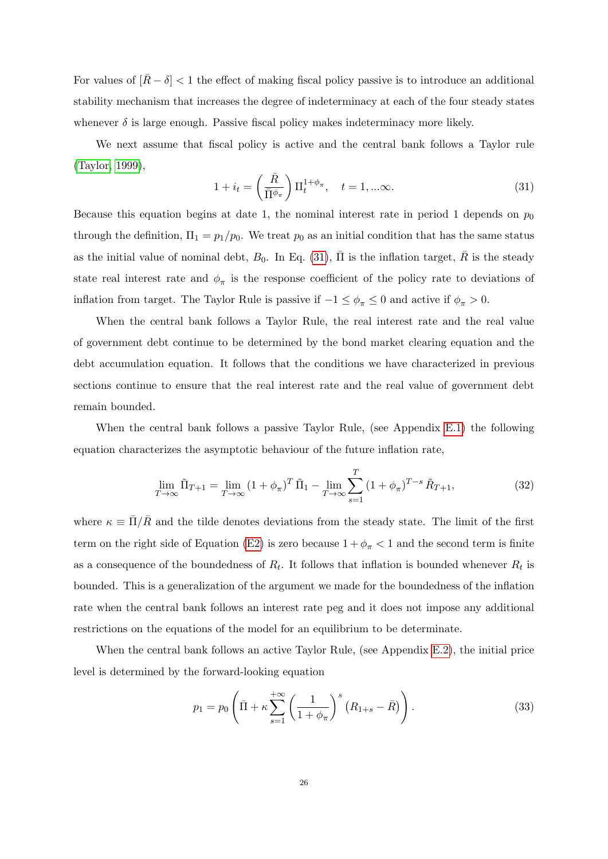For values of  $|R-\delta| < 1$  the effect of making fiscal policy passive is to introduce an additional stability mechanism that increases the degree of indeterminacy at each of the four steady states whenever  $\delta$  is large enough. Passive fiscal policy makes indeterminacy more likely.

We next assume that fiscal policy is active and the central bank follows a Taylor rule [\(Taylor, 1999\)](#page-33-13),

<span id="page-27-0"></span>
$$
1 + i_t = \left(\frac{\bar{R}}{\bar{\Pi}^{\phi_\pi}}\right) \Pi_t^{1 + \phi_\pi}, \quad t = 1, \dots \infty.
$$
 (31)

Because this equation begins at date 1, the nominal interest rate in period 1 depends on  $p_0$ through the definition,  $\Pi_1 = p_1/p_0$ . We treat  $p_0$  as an initial condition that has the same status as the initial value of nominal debt,  $B_0$ . In Eq. [\(31\)](#page-27-0),  $\overline{\Pi}$  is the inflation target,  $\overline{R}$  is the steady state real interest rate and  $\phi_{\pi}$  is the response coefficient of the policy rate to deviations of inflation from target. The Taylor Rule is passive if  $-1 \leq \phi_{\pi} \leq 0$  and active if  $\phi_{\pi} > 0$ .

When the central bank follows a Taylor Rule, the real interest rate and the real value of government debt continue to be determined by the bond market clearing equation and the debt accumulation equation. It follows that the conditions we have characterized in previous sections continue to ensure that the real interest rate and the real value of government debt remain bounded.

When the central bank follows a passive Taylor Rule, (see Appendix [E.1\)](#page-43-0) the following equation characterizes the asymptotic behaviour of the future inflation rate,

<span id="page-27-1"></span>
$$
\lim_{T \to \infty} \tilde{\Pi}_{T+1} = \lim_{T \to \infty} (1 + \phi_{\pi})^T \tilde{\Pi}_1 - \lim_{T \to \infty} \sum_{s=1}^T (1 + \phi_{\pi})^{T-s} \tilde{R}_{T+1},
$$
\n(32)

where  $\kappa \equiv \bar{\Pi}/\bar{R}$  and the tilde denotes deviations from the steady state. The limit of the first term on the right side of Equation [\(E2\)](#page-43-1) is zero because  $1 + \phi_{\pi} < 1$  and the second term is finite as a consequence of the boundedness of  $R_t$ . It follows that inflation is bounded whenever  $R_t$  is bounded. This is a generalization of the argument we made for the boundedness of the inflation rate when the central bank follows an interest rate peg and it does not impose any additional restrictions on the equations of the model for an equilibrium to be determinate.

When the central bank follows an active Taylor Rule, (see Appendix [E.2\)](#page-43-2), the initial price level is determined by the forward-looking equation

<span id="page-27-2"></span>
$$
p_1 = p_0 \left( \bar{\Pi} + \kappa \sum_{s=1}^{+\infty} \left( \frac{1}{1 + \phi_\pi} \right)^s \left( R_{1+s} - \bar{R} \right) \right). \tag{33}
$$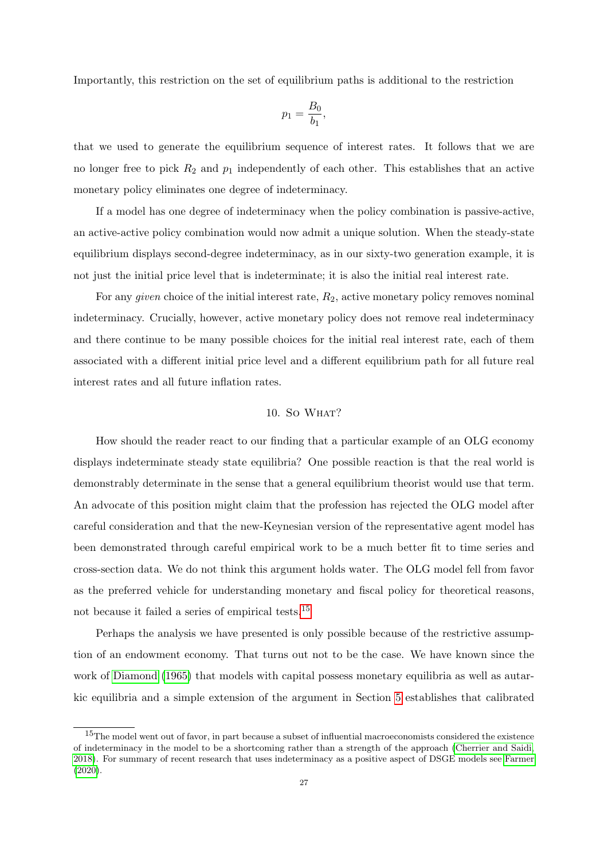Importantly, this restriction on the set of equilibrium paths is additional to the restriction

$$
p_1=\frac{B_0}{b_1},
$$

that we used to generate the equilibrium sequence of interest rates. It follows that we are no longer free to pick  $R_2$  and  $p_1$  independently of each other. This establishes that an active monetary policy eliminates one degree of indeterminacy.

If a model has one degree of indeterminacy when the policy combination is passive-active, an active-active policy combination would now admit a unique solution. When the steady-state equilibrium displays second-degree indeterminacy, as in our sixty-two generation example, it is not just the initial price level that is indeterminate; it is also the initial real interest rate.

For any *given* choice of the initial interest rate,  $R_2$ , active monetary policy removes nominal indeterminacy. Crucially, however, active monetary policy does not remove real indeterminacy and there continue to be many possible choices for the initial real interest rate, each of them associated with a different initial price level and a different equilibrium path for all future real interest rates and all future inflation rates.

# $10.$  So WHAT?

How should the reader react to our finding that a particular example of an OLG economy displays indeterminate steady state equilibria? One possible reaction is that the real world is demonstrably determinate in the sense that a general equilibrium theorist would use that term. An advocate of this position might claim that the profession has rejected the OLG model after careful consideration and that the new-Keynesian version of the representative agent model has been demonstrated through careful empirical work to be a much better fit to time series and cross-section data. We do not think this argument holds water. The OLG model fell from favor as the preferred vehicle for understanding monetary and fiscal policy for theoretical reasons, not because it failed a series of empirical tests.[15](#page-28-0)

Perhaps the analysis we have presented is only possible because of the restrictive assumption of an endowment economy. That turns out not to be the case. We have known since the work of [Diamond](#page-31-13) [\(1965\)](#page-31-13) that models with capital possess monetary equilibria as well as autarkic equilibria and a simple extension of the argument in Section [5](#page-13-0) establishes that calibrated

<span id="page-28-0"></span><sup>&</sup>lt;sup>15</sup>The model went out of favor, in part because a subset of influential macroeconomists considered the existence of indeterminacy in the model to be a shortcoming rather than a strength of the approach [\(Cherrier and Saidi,](#page-31-14) [2018\)](#page-31-14). For summary of recent research that uses indeterminacy as a positive aspect of DSGE models see [Farmer](#page-32-11) [\(2020\)](#page-32-11).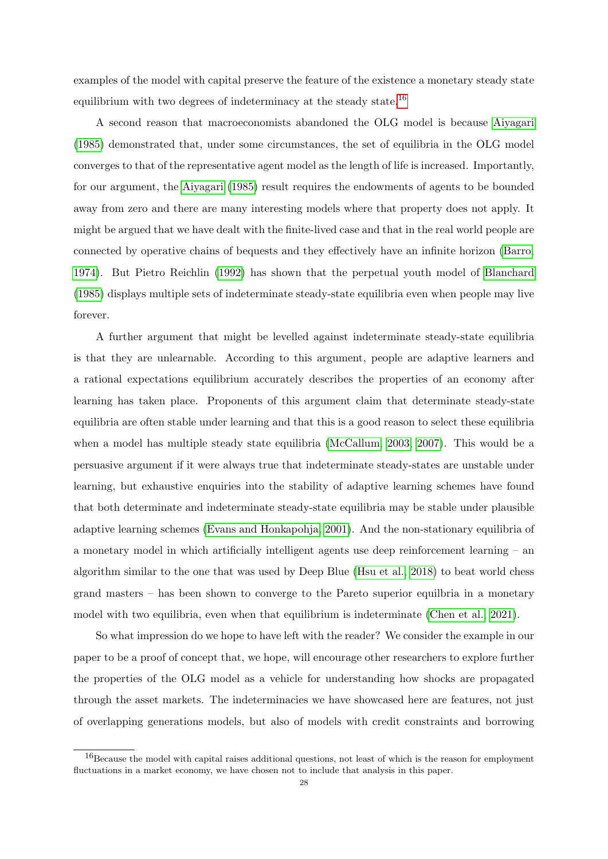examples of the model with capital preserve the feature of the existence a monetary steady state equilibrium with two degrees of indeterminacy at the steady state.<sup>[16](#page-29-0)</sup>

A second reason that macroeconomists abandoned the OLG model is because [Aiyagari](#page-31-15) [\(1985\)](#page-31-15) demonstrated that, under some circumstances, the set of equilibria in the OLG model converges to that of the representative agent model as the length of life is increased. Importantly, for our argument, the [Aiyagari](#page-31-15) [\(1985\)](#page-31-15) result requires the endowments of agents to be bounded away from zero and there are many interesting models where that property does not apply. It might be argued that we have dealt with the finite-lived case and that in the real world people are connected by operative chains of bequests and they effectively have an infinite horizon [\(Barro,](#page-31-16) [1974\)](#page-31-16). But Pietro Reichlin [\(1992\)](#page-33-14) has shown that the perpetual youth model of [Blanchard](#page-31-17) [\(1985\)](#page-31-17) displays multiple sets of indeterminate steady-state equilibria even when people may live forever.

A further argument that might be levelled against indeterminate steady-state equilibria is that they are unlearnable. According to this argument, people are adaptive learners and a rational expectations equilibrium accurately describes the properties of an economy after learning has taken place. Proponents of this argument claim that determinate steady-state equilibria are often stable under learning and that this is a good reason to select these equilibria when a model has multiple steady state equilibria [\(McCallum, 2003,](#page-32-16) [2007\)](#page-32-17). This would be a persuasive argument if it were always true that indeterminate steady-states are unstable under learning, but exhaustive enquiries into the stability of adaptive learning schemes have found that both determinate and indeterminate steady-state equilibria may be stable under plausible adaptive learning schemes [\(Evans and Honkapohja, 2001\)](#page-31-18). And the non-stationary equilibria of a monetary model in which artificially intelligent agents use deep reinforcement learning – an algorithm similar to the one that was used by Deep Blue [\(Hsu et al., 2018\)](#page-32-18) to beat world chess grand masters – has been shown to converge to the Pareto superior equilbria in a monetary model with two equilibria, even when that equilibrium is indeterminate [\(Chen et al., 2021\)](#page-31-19).

So what impression do we hope to have left with the reader? We consider the example in our paper to be a proof of concept that, we hope, will encourage other researchers to explore further the properties of the OLG model as a vehicle for understanding how shocks are propagated through the asset markets. The indeterminacies we have showcased here are features, not just of overlapping generations models, but also of models with credit constraints and borrowing

<span id="page-29-0"></span><sup>16</sup>Because the model with capital raises additional questions, not least of which is the reason for employment fluctuations in a market economy, we have chosen not to include that analysis in this paper.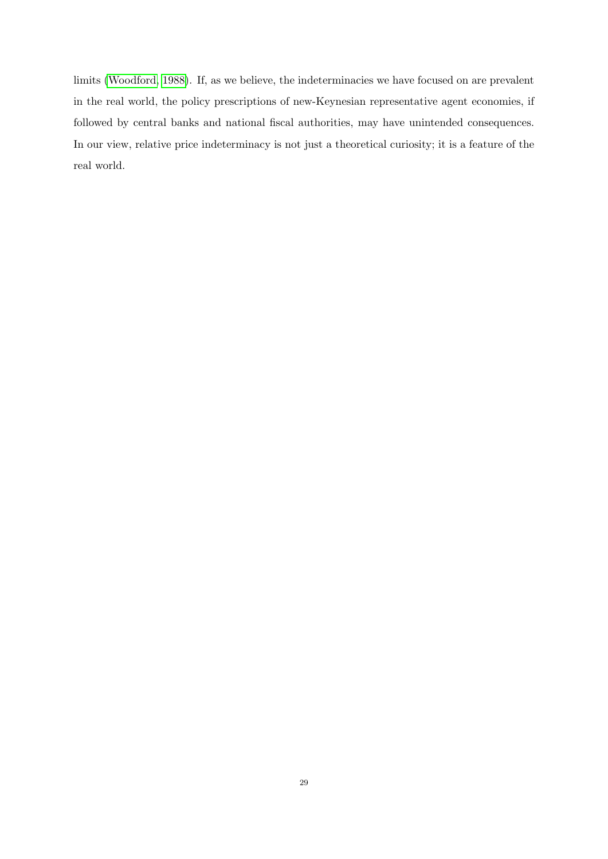limits [\(Woodford, 1988\)](#page-33-3). If, as we believe, the indeterminacies we have focused on are prevalent in the real world, the policy prescriptions of new-Keynesian representative agent economies, if followed by central banks and national fiscal authorities, may have unintended consequences. In our view, relative price indeterminacy is not just a theoretical curiosity; it is a feature of the real world.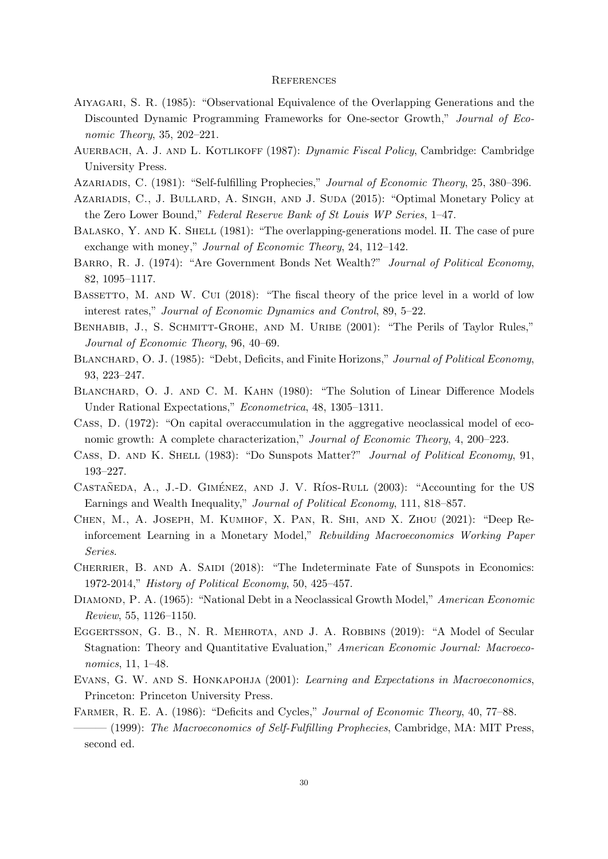#### **REFERENCES**

- <span id="page-31-15"></span>Aiyagari, S. R. (1985): "Observational Equivalence of the Overlapping Generations and the Discounted Dynamic Programming Frameworks for One-sector Growth," Journal of Economic Theory, 35, 202–221.
- <span id="page-31-1"></span>AUERBACH, A. J. AND L. KOTLIKOFF (1987): *Dynamic Fiscal Policy*, Cambridge: Cambridge University Press.
- <span id="page-31-3"></span>AZARIADIS, C. (1981): "Self-fulfilling Prophecies," Journal of Economic Theory, 25, 380-396.
- <span id="page-31-7"></span>Azariadis, C., J. Bullard, A. Singh, and J. Suda (2015): "Optimal Monetary Policy at the Zero Lower Bound," Federal Reserve Bank of St Louis WP Series, 1–47.
- <span id="page-31-6"></span>BALASKO, Y. AND K. SHELL (1981): "The overlapping-generations model. II. The case of pure exchange with money," Journal of Economic Theory, 24, 112–142.
- <span id="page-31-16"></span>BARRO, R. J. (1974): "Are Government Bonds Net Wealth?" Journal of Political Economy, 82, 1095–1117.
- <span id="page-31-10"></span>BASSETTO, M. AND W. CUI (2018): "The fiscal theory of the price level in a world of low interest rates," Journal of Economic Dynamics and Control, 89, 5–22.
- <span id="page-31-8"></span>BENHABIB, J., S. SCHMITT-GROHE, AND M. URIBE (2001): "The Perils of Taylor Rules," Journal of Economic Theory, 96, 40–69.
- <span id="page-31-17"></span>BLANCHARD, O. J. (1985): "Debt, Deficits, and Finite Horizons," Journal of Political Economy, 93, 223–247.
- <span id="page-31-11"></span>BLANCHARD, O. J. AND C. M. KAHN (1980): "The Solution of Linear Difference Models Under Rational Expectations," Econometrica, 48, 1305–1311.
- <span id="page-31-12"></span>Cass, D. (1972): "On capital overaccumulation in the aggregative neoclassical model of economic growth: A complete characterization," Journal of Economic Theory, 4, 200–223.
- <span id="page-31-0"></span>Cass, D. and K. Shell (1983): "Do Sunspots Matter?" Journal of Political Economy, 91, 193–227.
- <span id="page-31-9"></span>CASTAÑEDA, A., J.-D. GIMÉNEZ, AND J. V. RÍOS-RULL (2003): "Accounting for the US Earnings and Wealth Inequality," Journal of Political Economy, 111, 818–857.
- <span id="page-31-19"></span>Chen, M., A. Joseph, M. Kumhof, X. Pan, R. Shi, and X. Zhou (2021): "Deep Reinforcement Learning in a Monetary Model," Rebuilding Macroeconomics Working Paper Series.
- <span id="page-31-14"></span>CHERRIER, B. AND A. SAIDI (2018): "The Indeterminate Fate of Sunspots in Economics: 1972-2014," History of Political Economy, 50, 425–457.
- <span id="page-31-13"></span>DIAMOND, P. A. (1965): "National Debt in a Neoclassical Growth Model," American Economic Review, 55, 1126–1150.
- <span id="page-31-2"></span>EGGERTSSON, G. B., N. R. MEHROTA, AND J. A. ROBBINS (2019): "A Model of Secular Stagnation: Theory and Quantitative Evaluation," American Economic Journal: Macroeconomics, 11, 1–48.
- <span id="page-31-18"></span>EVANS, G. W. AND S. HONKAPOHJA (2001): Learning and Expectations in Macroeconomics, Princeton: Princeton University Press.
- <span id="page-31-5"></span><span id="page-31-4"></span>FARMER, R. E. A. (1986): "Deficits and Cycles," Journal of Economic Theory, 40, 77–88.
- $-$  (1999): The Macroeconomics of Self-Fulfilling Prophecies, Cambridge, MA: MIT Press, second ed.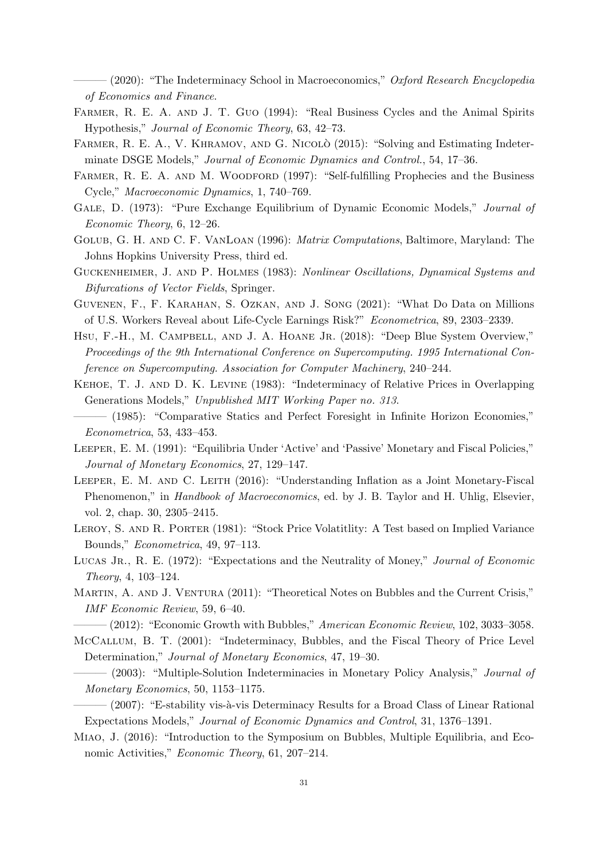<span id="page-32-11"></span> $-(2020)$ : "The Indeterminacy School in Macroeconomics," Oxford Research Encyclopedia of Economics and Finance.

- <span id="page-32-4"></span>FARMER, R. E. A. AND J. T. GUO (1994): "Real Business Cycles and the Animal Spirits Hypothesis," Journal of Economic Theory, 63, 42–73.
- <span id="page-32-19"></span>FARMER, R. E. A., V. KHRAMOV, AND G. NICOLÒ (2015): "Solving and Estimating Indeterminate DSGE Models," Journal of Economic Dynamics and Control., 54, 17–36.
- <span id="page-32-3"></span>FARMER, R. E. A. AND M. WOODFORD (1997): "Self-fulfilling Prophecies and the Business Cycle," Macroeconomic Dynamics, 1, 740–769.
- <span id="page-32-7"></span>GALE, D. (1973): "Pure Exchange Equilibrium of Dynamic Economic Models," *Journal of* Economic Theory, 6, 12–26.
- <span id="page-32-20"></span>Golub, G. H. and C. F. VanLoan (1996): Matrix Computations, Baltimore, Maryland: The Johns Hopkins University Press, third ed.
- <span id="page-32-15"></span>Guckenheimer, J. and P. Holmes (1983): Nonlinear Oscillations, Dynamical Systems and Bifurcations of Vector Fields, Springer.
- <span id="page-32-14"></span>Guvenen, F., F. Karahan, S. Ozkan, and J. Song (2021): "What Do Data on Millions of U.S. Workers Reveal about Life-Cycle Earnings Risk?" Econometrica, 89, 2303–2339.
- <span id="page-32-18"></span>HSU, F.-H., M. CAMPBELL, AND J. A. HOANE JR. (2018): "Deep Blue System Overview," Proceedings of the 9th International Conference on Supercomputing. 1995 International Conference on Supercomputing. Association for Computer Machinery, 240–244.
- <span id="page-32-8"></span>Kehoe, T. J. and D. K. Levine (1983): "Indeterminacy of Relative Prices in Overlapping Generations Models," Unpublished MIT Working Paper no. 313.
- <span id="page-32-6"></span>——— (1985): "Comparative Statics and Perfect Foresight in Infinite Horizon Economies," Econometrica, 53, 433–453.
- <span id="page-32-0"></span>Leeper, E. M. (1991): "Equilibria Under 'Active' and 'Passive' Monetary and Fiscal Policies," Journal of Monetary Economics, 27, 129–147.
- <span id="page-32-1"></span>LEEPER, E. M. AND C. LEITH (2016): "Understanding Inflation as a Joint Monetary-Fiscal Phenomenon," in *Handbook of Macroeconomics*, ed. by J. B. Taylor and H. Uhlig, Elsevier, vol. 2, chap. 30, 2305–2415.
- <span id="page-32-5"></span>LEROY, S. AND R. PORTER (1981): "Stock Price Volatitlity: A Test based on Implied Variance Bounds," Econometrica, 49, 97–113.
- <span id="page-32-2"></span>LUCAS JR., R. E. (1972): "Expectations and the Neutrality of Money," Journal of Economic Theory, 4, 103–124.
- <span id="page-32-9"></span>MARTIN, A. AND J. VENTURA (2011): "Theoretical Notes on Bubbles and the Current Crisis," IMF Economic Review, 59, 6–40.

<span id="page-32-10"></span> $-(2012)$ : "Economic Growth with Bubbles," American Economic Review, 102, 3033-3058.

- <span id="page-32-13"></span>McCallum, B. T. (2001): "Indeterminacy, Bubbles, and the Fiscal Theory of Price Level Determination," Journal of Monetary Economics, 47, 19–30.
- <span id="page-32-16"></span>– (2003): "Multiple-Solution Indeterminacies in Monetary Policy Analysis," *Journal of* Monetary Economics, 50, 1153–1175.
- <span id="page-32-17"></span>– (2007): "E-stability vis-à-vis Determinacy Results for a Broad Class of Linear Rational Expectations Models," Journal of Economic Dynamics and Control, 31, 1376–1391.
- <span id="page-32-12"></span>Miao, J. (2016): "Introduction to the Symposium on Bubbles, Multiple Equilibria, and Economic Activities," Economic Theory, 61, 207–214.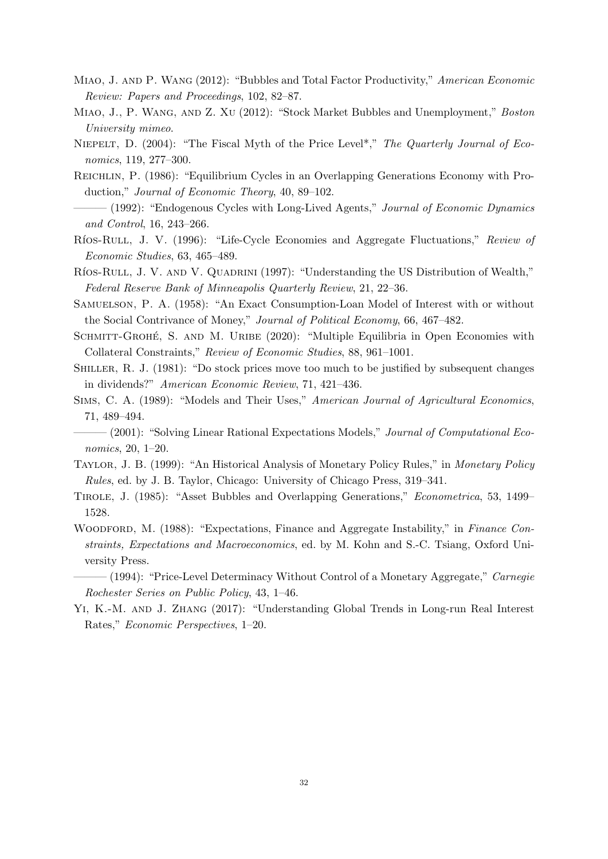- <span id="page-33-8"></span>Miao, J. and P. Wang (2012): "Bubbles and Total Factor Productivity," American Economic Review: Papers and Proceedings, 102, 82–87.
- <span id="page-33-9"></span>Miao, J., P. Wang, and Z. Xu (2012): "Stock Market Bubbles and Unemployment," Boston University mimeo.
- <span id="page-33-16"></span>NIEPELT, D. (2004): "The Fiscal Myth of the Price Level<sup>\*</sup>," The Quarterly Journal of Economics, 119, 277–300.
- <span id="page-33-0"></span>Reichlin, P. (1986): "Equilibrium Cycles in an Overlapping Generations Economy with Production," Journal of Economic Theory, 40, 89–102.
- <span id="page-33-14"></span> $-(1992)$ : "Endogenous Cycles with Long-Lived Agents," Journal of Economic Dynamics and Control, 16, 243–266.
- <span id="page-33-2"></span>Ríos-Rull, J. V. (1996): "Life-Cycle Economies and Aggregate Fluctuations," Review of Economic Studies, 63, 465–489.
- <span id="page-33-10"></span>RÍOS-RULL, J. V. AND V. QUADRINI (1997): "Understanding the US Distribution of Wealth," Federal Reserve Bank of Minneapolis Quarterly Review, 21, 22–36.
- <span id="page-33-1"></span>Samuelson, P. A. (1958): "An Exact Consumption-Loan Model of Interest with or without the Social Contrivance of Money," Journal of Political Economy, 66, 467–482.
- <span id="page-33-4"></span>SCHMITT-GROHÉ, S. AND M. URIBE (2020): "Multiple Equilibria in Open Economies with Collateral Constraints," Review of Economic Studies, 88, 961–1001.
- <span id="page-33-6"></span>Shiller, R. J. (1981): "Do stock prices move too much to be justified by subsequent changes in dividends?" American Economic Review, 71, 421–436.
- <span id="page-33-5"></span>Sims, C. A. (1989): "Models and Their Uses," American Journal of Agricultural Economics, 71, 489–494.
- <span id="page-33-15"></span> $-(2001)$ : "Solving Linear Rational Expectations Models," Journal of Computational Economics, 20, 1–20.
- <span id="page-33-13"></span>Taylor, J. B. (1999): "An Historical Analysis of Monetary Policy Rules," in Monetary Policy Rules, ed. by J. B. Taylor, Chicago: University of Chicago Press, 319–341.
- <span id="page-33-7"></span>Tirole, J. (1985): "Asset Bubbles and Overlapping Generations," Econometrica, 53, 1499– 1528.
- <span id="page-33-3"></span>WOODFORD, M. (1988): "Expectations, Finance and Aggregate Instability," in Finance Constraints, Expectations and Macroeconomics, ed. by M. Kohn and S.-C. Tsiang, Oxford University Press.
- <span id="page-33-11"></span> $-(1994)$ : "Price-Level Determinacy Without Control of a Monetary Aggregate," *Carnegie* Rochester Series on Public Policy, 43, 1–46.
- <span id="page-33-12"></span>Yi, K.-M. and J. Zhang (2017): "Understanding Global Trends in Long-run Real Interest Rates," Economic Perspectives, 1–20.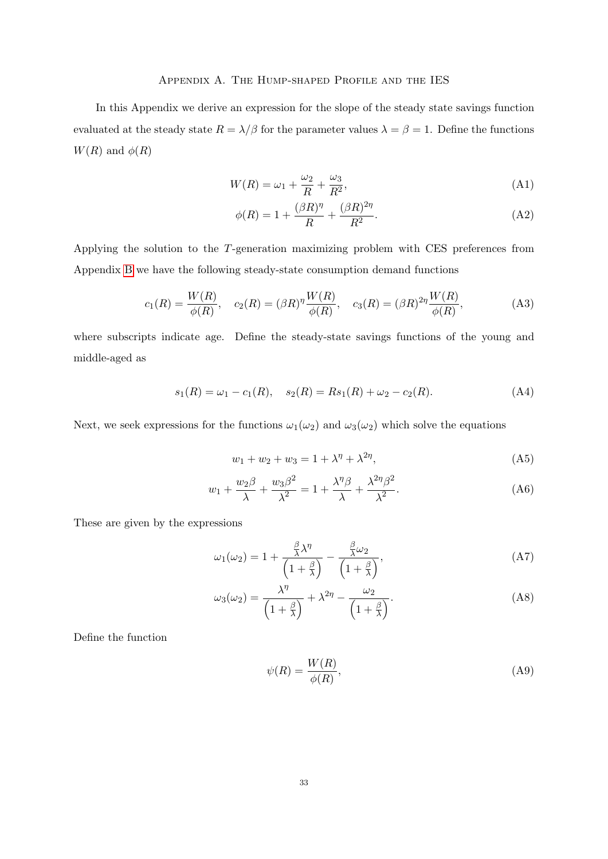# Appendix A. The Hump-shaped Profile and the IES

<span id="page-34-0"></span>In this Appendix we derive an expression for the slope of the steady state savings function evaluated at the steady state  $R = \lambda/\beta$  for the parameter values  $\lambda = \beta = 1$ . Define the functions  $W(R)$  and  $\phi(R)$ 

$$
W(R) = \omega_1 + \frac{\omega_2}{R} + \frac{\omega_3}{R^2},\tag{A1}
$$

$$
\phi(R) = 1 + \frac{(\beta R)^{\eta}}{R} + \frac{(\beta R)^{2\eta}}{R^2}.
$$
 (A2)

Applying the solution to the T-generation maximizing problem with CES preferences from Appendix [B](#page-36-0) we have the following steady-state consumption demand functions

$$
c_1(R) = \frac{W(R)}{\phi(R)}, \quad c_2(R) = (\beta R)^{\eta} \frac{W(R)}{\phi(R)}, \quad c_3(R) = (\beta R)^{2\eta} \frac{W(R)}{\phi(R)},
$$
(A3)

where subscripts indicate age. Define the steady-state savings functions of the young and middle-aged as

$$
s_1(R) = \omega_1 - c_1(R), \quad s_2(R) = Rs_1(R) + \omega_2 - c_2(R). \tag{A4}
$$

Next, we seek expressions for the functions  $\omega_1(\omega_2)$  and  $\omega_3(\omega_2)$  which solve the equations

$$
w_1 + w_2 + w_3 = 1 + \lambda^{\eta} + \lambda^{2\eta}, \tag{A5}
$$

$$
w_1 + \frac{w_2\beta}{\lambda} + \frac{w_3\beta^2}{\lambda^2} = 1 + \frac{\lambda^{\eta}\beta}{\lambda} + \frac{\lambda^{2\eta}\beta^2}{\lambda^2}.
$$
 (A6)

These are given by the expressions

$$
\omega_1(\omega_2) = 1 + \frac{\frac{\beta}{\lambda}\lambda^{\eta}}{\left(1 + \frac{\beta}{\lambda}\right)} - \frac{\frac{\beta}{\lambda}\omega_2}{\left(1 + \frac{\beta}{\lambda}\right)},\tag{A7}
$$

$$
\omega_3(\omega_2) = \frac{\lambda^{\eta}}{\left(1 + \frac{\beta}{\lambda}\right)} + \lambda^{2\eta} - \frac{\omega_2}{\left(1 + \frac{\beta}{\lambda}\right)}.
$$
\n(A8)

Define the function

$$
\psi(R) = \frac{W(R)}{\phi(R)},\tag{A9}
$$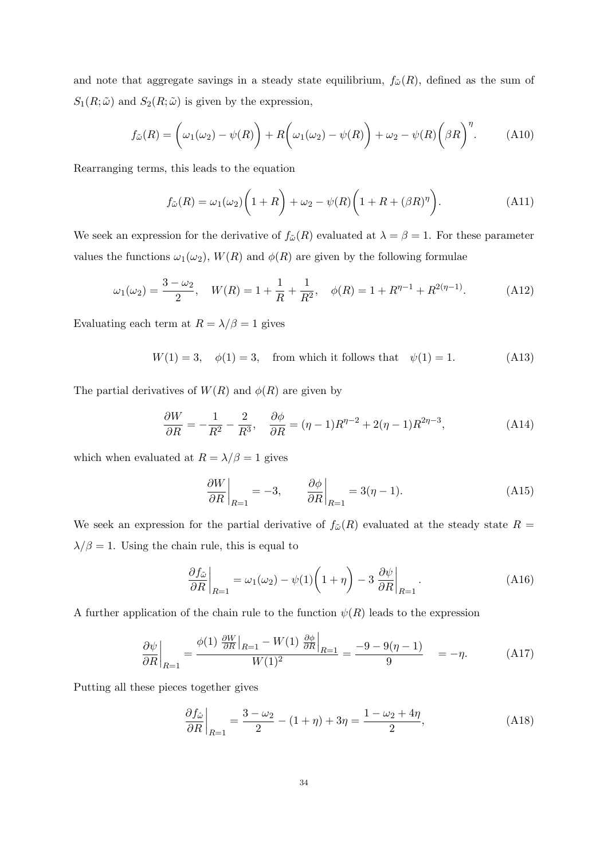and note that aggregate savings in a steady state equilibrium,  $f_{\tilde{\omega}}(R)$ , defined as the sum of  $S_1(R; \tilde{\omega})$  and  $S_2(R; \tilde{\omega})$  is given by the expression,

$$
f_{\tilde{\omega}}(R) = \left(\omega_1(\omega_2) - \psi(R)\right) + R\left(\omega_1(\omega_2) - \psi(R)\right) + \omega_2 - \psi(R)\left(\beta R\right)^{\eta}.
$$
 (A10)

Rearranging terms, this leads to the equation

$$
f_{\tilde{\omega}}(R) = \omega_1(\omega_2) \left( 1 + R \right) + \omega_2 - \psi(R) \left( 1 + R + (\beta R)^{\eta} \right).
$$
 (A11)

We seek an expression for the derivative of  $f_{\tilde{\omega}}(R)$  evaluated at  $\lambda = \beta = 1$ . For these parameter values the functions  $\omega_1(\omega_2)$ ,  $W(R)$  and  $\phi(R)$  are given by the following formulae

$$
\omega_1(\omega_2) = \frac{3 - \omega_2}{2}, \quad W(R) = 1 + \frac{1}{R} + \frac{1}{R^2}, \quad \phi(R) = 1 + R^{\eta - 1} + R^{2(\eta - 1)}.
$$
 (A12)

Evaluating each term at  $R = \lambda/\beta = 1$  gives

$$
W(1) = 3
$$
,  $\phi(1) = 3$ , from which it follows that  $\psi(1) = 1$ . (A13)

The partial derivatives of  $W(R)$  and  $\phi(R)$  are given by

$$
\frac{\partial W}{\partial R} = -\frac{1}{R^2} - \frac{2}{R^3}, \quad \frac{\partial \phi}{\partial R} = (\eta - 1)R^{\eta - 2} + 2(\eta - 1)R^{2\eta - 3},\tag{A14}
$$

which when evaluated at  $R=\lambda/\beta=1$  gives

$$
\left. \frac{\partial W}{\partial R} \right|_{R=1} = -3, \qquad \left. \frac{\partial \phi}{\partial R} \right|_{R=1} = 3(\eta - 1). \tag{A15}
$$

We seek an expression for the partial derivative of  $f_{\tilde{\omega}}(R)$  evaluated at the steady state  $R =$  $\lambda/\beta=1.$  Using the chain rule, this is equal to

$$
\left. \frac{\partial f_{\tilde{\omega}}}{\partial R} \right|_{R=1} = \omega_1(\omega_2) - \psi(1) \left( 1 + \eta \right) - 3 \left. \frac{\partial \psi}{\partial R} \right|_{R=1} . \tag{A16}
$$

A further application of the chain rule to the function  $\psi(R)$  leads to the expression

$$
\frac{\partial \psi}{\partial R}\bigg|_{R=1} = \frac{\phi(1) \frac{\partial W}{\partial R}\bigg|_{R=1} - W(1) \frac{\partial \phi}{\partial R}\bigg|_{R=1}}{W(1)^2} = \frac{-9 - 9(\eta - 1)}{9} = -\eta. \tag{A17}
$$

Putting all these pieces together gives

$$
\left. \frac{\partial f_{\hat{\omega}}}{\partial R} \right|_{R=1} = \frac{3 - \omega_2}{2} - (1 + \eta) + 3\eta = \frac{1 - \omega_2 + 4\eta}{2},\tag{A18}
$$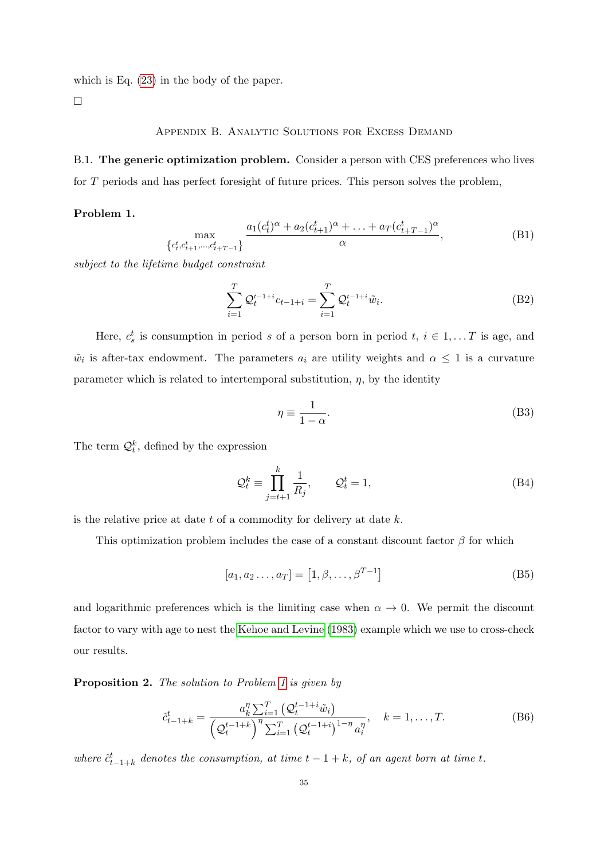which is Eq. [\(23\)](#page-15-0) in the body of the paper.

<span id="page-36-0"></span> $\Box$ 

# Appendix B. Analytic Solutions for Excess Demand

<span id="page-36-1"></span>B.1. The generic optimization problem. Consider a person with CES preferences who lives for T periods and has perfect foresight of future prices. This person solves the problem,

# <span id="page-36-2"></span>Problem 1.

$$
\max_{\{c_t^t, c_{t+1}^t, \dots, c_{t+T-1}^t\}} \frac{a_1(c_t^t)^{\alpha} + a_2(c_{t+1}^t)^{\alpha} + \dots + a_T(c_{t+T-1}^t)^{\alpha}}{\alpha},
$$
(B1)

subject to the lifetime budget constraint

$$
\sum_{i=1}^{T} \mathcal{Q}_t^{t-1+i} c_{t-1+i} = \sum_{i=1}^{T} \mathcal{Q}_t^{t-1+i} \tilde{w}_i.
$$
 (B2)

Here,  $c_s^t$  is consumption in period s of a person born in period  $t, i \in 1, \ldots T$  is age, and  $\tilde{w}_i$  is after-tax endowment. The parameters  $a_i$  are utility weights and  $\alpha \leq 1$  is a curvature parameter which is related to intertemporal substitution,  $\eta$ , by the identity

$$
\eta \equiv \frac{1}{1 - \alpha}.\tag{B3}
$$

The term  $\mathcal{Q}_t^k$ , defined by the expression

$$
\mathcal{Q}_t^k \equiv \prod_{j=t+1}^k \frac{1}{R_j}, \qquad \mathcal{Q}_t^t = 1,\tag{B4}
$$

is the relative price at date  $t$  of a commodity for delivery at date  $k$ .

This optimization problem includes the case of a constant discount factor  $\beta$  for which

$$
[a_1, a_2 \dots, a_T] = [1, \beta, \dots, \beta^{T-1}]
$$
 (B5)

and logarithmic preferences which is the limiting case when  $\alpha \to 0$ . We permit the discount factor to vary with age to nest the [Kehoe and Levine](#page-32-8) [\(1983\)](#page-32-8) example which we use to cross-check our results.

Proposition 2. The solution to Problem [1](#page-36-2) is given by

$$
\hat{c}_{t-1+k}^t = \frac{a_k^{\eta} \sum_{i=1}^T \left(Q_t^{t-1+i} \tilde{w}_i\right)}{\left(Q_t^{t-1+k}\right)^{\eta} \sum_{i=1}^T \left(Q_t^{t-1+i}\right)^{1-\eta} a_i^{\eta}}, \quad k = 1, \dots, T. \tag{B6}
$$

where  $\hat{c}_{t-1+k}^t$  denotes the consumption, at time  $t-1+k$ , of an agent born at time t.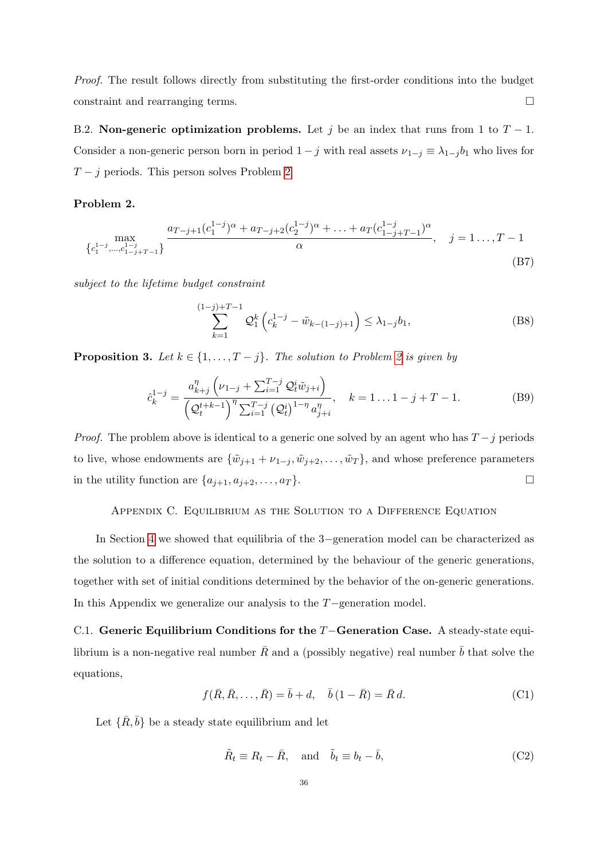Proof. The result follows directly from substituting the first-order conditions into the budget constraint and rearranging terms.

B.2. Non-generic optimization problems. Let j be an index that runs from 1 to  $T - 1$ . Consider a non-generic person born in period  $1 - j$  with real assets  $\nu_{1-j} \equiv \lambda_{1-j} b_1$  who lives for  $T - j$  periods. This person solves Problem [2](#page-37-1)

# <span id="page-37-1"></span>Problem 2.

$$
\max_{\{c_1^{1-j}, \dots, c_{1-j+T-1}^{1-j}\}} \frac{a_{T-j+1}(c_1^{1-j})^{\alpha} + a_{T-j+2}(c_2^{1-j})^{\alpha} + \dots + a_T(c_{1-j+T-1}^{1-j})^{\alpha}}{\alpha}, \quad j = 1, \dots, T-1
$$
\n(B7)

subject to the lifetime budget constraint

$$
\sum_{k=1}^{(1-j)+T-1} \mathcal{Q}_1^k \left( c_k^{1-j} - \tilde{w}_{k-(1-j)+1} \right) \le \lambda_{1-j} b_1,\tag{B8}
$$

**Proposition 3.** Let  $k \in \{1, ..., T - j\}$ . The solution to Problem [2](#page-37-1) is given by

$$
\hat{c}_k^{1-j} = \frac{a_{k+j}^{\eta} \left(\nu_{1-j} + \sum_{i=1}^{T-j} \mathcal{Q}_t^i \tilde{w}_{j+i}\right)}{\left(\mathcal{Q}_t^{t+k-1}\right)^{\eta} \sum_{i=1}^{T-j} \left(\mathcal{Q}_t^i\right)^{1-\eta} a_{j+i}^{\eta}}, \quad k = 1...1-j+T-1.
$$
\n(B9)

*Proof.* The problem above is identical to a generic one solved by an agent who has  $T - j$  periods to live, whose endowments are  $\{\tilde{w}_{j+1} + \nu_{1-j}, \tilde{w}_{j+2}, \ldots, \tilde{w}_T\}$ , and whose preference parameters in the utility function are  $\{a_{j+1}, a_{j+2}, \ldots, a_T\}$ .

# Appendix C. Equilibrium as the Solution to a Difference Equation

In Section [4](#page-9-3) we showed that equilibria of the 3−generation model can be characterized as the solution to a difference equation, determined by the behaviour of the generic generations, together with set of initial conditions determined by the behavior of the on-generic generations. In this Appendix we generalize our analysis to the T−generation model.

<span id="page-37-0"></span>C.1. Generic Equilibrium Conditions for the T−Generation Case. A steady-state equilibrium is a non-negative real number  $\bar{R}$  and a (possibly negative) real number  $\bar{b}$  that solve the equations,

$$
f(\bar{R}, \bar{R}, \dots, \bar{R}) = \bar{b} + d, \quad \bar{b}(1 - \bar{R}) = \bar{R} d.
$$
 (C1)

Let  $\{\bar{R}, \bar{b}\}$  be a steady state equilibrium and let

$$
\tilde{R}_t \equiv R_t - \bar{R}, \quad \text{and} \quad \tilde{b}_t \equiv b_t - \bar{b}, \tag{C2}
$$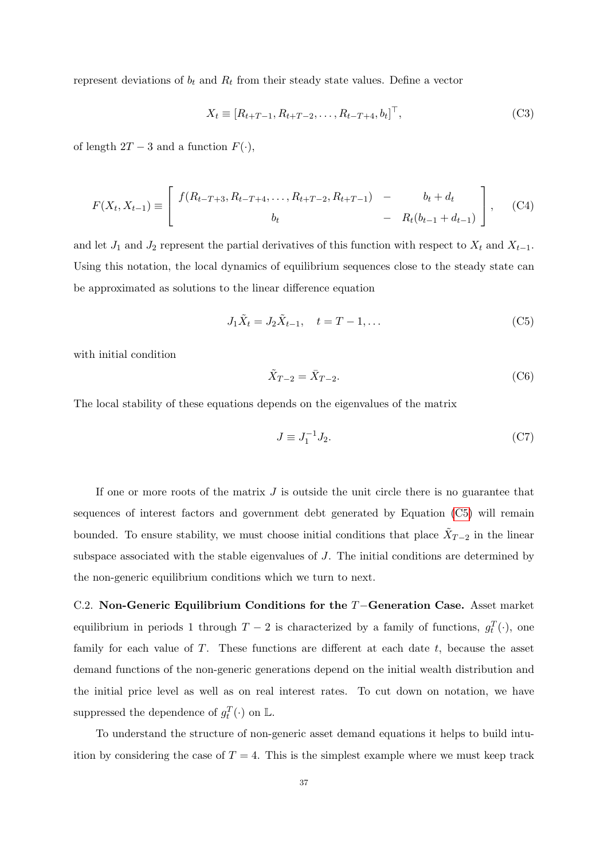represent deviations of  $b_t$  and  $R_t$  from their steady state values. Define a vector

$$
X_t \equiv [R_{t+T-1}, R_{t+T-2}, \dots, R_{t-T+4}, b_t]^\top,
$$
\n(C3)

of length  $2T - 3$  and a function  $F(\cdot)$ ,

$$
F(X_t, X_{t-1}) \equiv \begin{bmatrix} f(R_{t-T+3}, R_{t-T+4}, \dots, R_{t+T-2}, R_{t+T-1}) & - & b_t + d_t \\ b_t & - & R_t(b_{t-1} + d_{t-1}) \end{bmatrix}, \quad (C4)
$$

and let  $J_1$  and  $J_2$  represent the partial derivatives of this function with respect to  $X_t$  and  $X_{t-1}$ . Using this notation, the local dynamics of equilibrium sequences close to the steady state can be approximated as solutions to the linear difference equation

$$
J_1 \tilde{X}_t = J_2 \tilde{X}_{t-1}, \quad t = T - 1, \dots
$$
 (C5)

with initial condition

<span id="page-38-1"></span>
$$
\tilde{X}_{T-2} = \bar{X}_{T-2}.\tag{C6}
$$

The local stability of these equations depends on the eigenvalues of the matrix

$$
J \equiv J_1^{-1} J_2. \tag{C7}
$$

If one or more roots of the matrix  $J$  is outside the unit circle there is no guarantee that sequences of interest factors and government debt generated by Equation [\(C5\)](#page-38-1) will remain bounded. To ensure stability, we must choose initial conditions that place  $\tilde{X}_{T-2}$  in the linear subspace associated with the stable eigenvalues of J. The initial conditions are determined by the non-generic equilibrium conditions which we turn to next.

<span id="page-38-0"></span>C.2. Non-Generic Equilibrium Conditions for the T−Generation Case. Asset market equilibrium in periods 1 through  $T-2$  is characterized by a family of functions,  $g_t^T(\cdot)$ , one family for each value of  $T$ . These functions are different at each date  $t$ , because the asset demand functions of the non-generic generations depend on the initial wealth distribution and the initial price level as well as on real interest rates. To cut down on notation, we have suppressed the dependence of  $g_t^T(\cdot)$  on  $\mathbb{L}$ .

To understand the structure of non-generic asset demand equations it helps to build intuition by considering the case of  $T = 4$ . This is the simplest example where we must keep track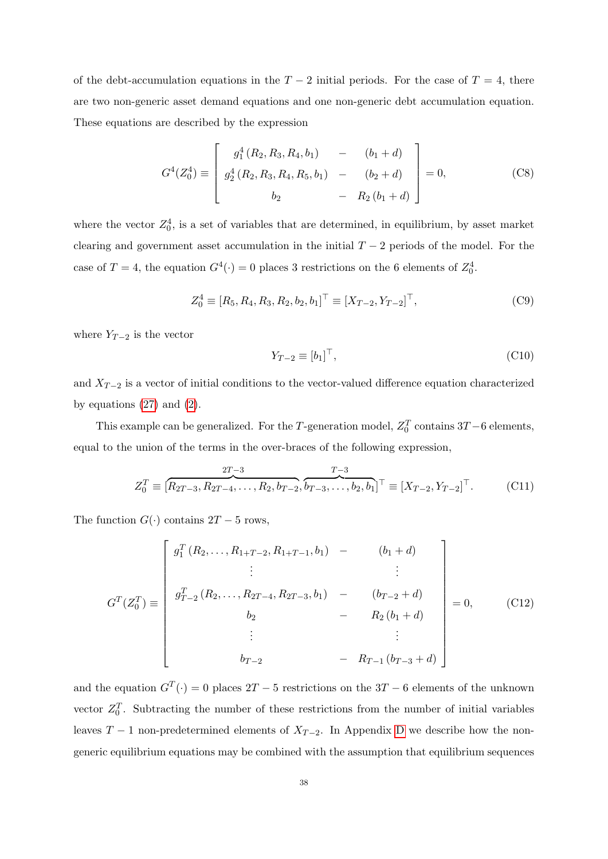of the debt-accumulation equations in the  $T-2$  initial periods. For the case of  $T=4$ , there are two non-generic asset demand equations and one non-generic debt accumulation equation. These equations are described by the expression

$$
G^{4}(Z_{0}^{4}) \equiv \begin{bmatrix} g_{1}^{4}(R_{2}, R_{3}, R_{4}, b_{1}) & - & (b_{1} + d) \\ g_{2}^{4}(R_{2}, R_{3}, R_{4}, R_{5}, b_{1}) & - & (b_{2} + d) \\ b_{2} & - & R_{2}(b_{1} + d) \end{bmatrix} = 0,
$$
 (C8)

where the vector  $Z_0^4$ , is a set of variables that are determined, in equilibrium, by asset market clearing and government asset accumulation in the initial  $T-2$  periods of the model. For the case of  $T = 4$ , the equation  $G^4(\cdot) = 0$  places 3 restrictions on the 6 elements of  $Z_0^4$ .

$$
Z_0^4 \equiv [R_5, R_4, R_3, R_2, b_2, b_1]^\top \equiv [X_{T-2}, Y_{T-2}]^\top,
$$
\n(C9)

where  $Y_{T-2}$  is the vector

$$
Y_{T-2} \equiv [b_1]^\top,\tag{C10}
$$

and  $X_{T-2}$  is a vector of initial conditions to the vector-valued difference equation characterized by equations  $(27)$  and  $(2)$ .

This example can be generalized. For the T-generation model,  $Z_0^T$  contains 3T –6 elements, equal to the union of the terms in the over-braces of the following expression,

$$
Z_0^T \equiv \left[ \overbrace{R_{2T-3}, R_{2T-4}, \dots, R_{2}, b_{T-2}}^{2T-3}, \overbrace{b_{T-3}, \dots, b_{2}, b_{1}}^{T-3} \right]^{\top} \equiv \left[ X_{T-2}, Y_{T-2} \right]^{\top}.
$$
 (C11)

The function  $G(\cdot)$  contains  $2T - 5$  rows,

$$
G^{T}(Z_{0}^{T}) \equiv \begin{bmatrix} g_{1}^{T}(R_{2},...,R_{1+T-2},R_{1+T-1},b_{1}) & - & (b_{1}+d) \\ \vdots & & \vdots \\ g_{T-2}^{T}(R_{2},...,R_{2T-4},R_{2T-3},b_{1}) & - & (b_{T-2}+d) \\ b_{2} & - & R_{2}(b_{1}+d) \\ \vdots & & \vdots \\ b_{T-2} & - & R_{T-1}(b_{T-3}+d) \end{bmatrix} = 0, \quad (C12)
$$

and the equation  $G^T(\cdot) = 0$  places  $2T - 5$  restrictions on the  $3T - 6$  elements of the unknown vector  $Z_0^T$ . Subtracting the number of these restrictions from the number of initial variables leaves  $T-1$  non-predetermined elements of  $X_{T-2}$ . In Appendix [D](#page-40-0) we describe how the nongeneric equilibrium equations may be combined with the assumption that equilibrium sequences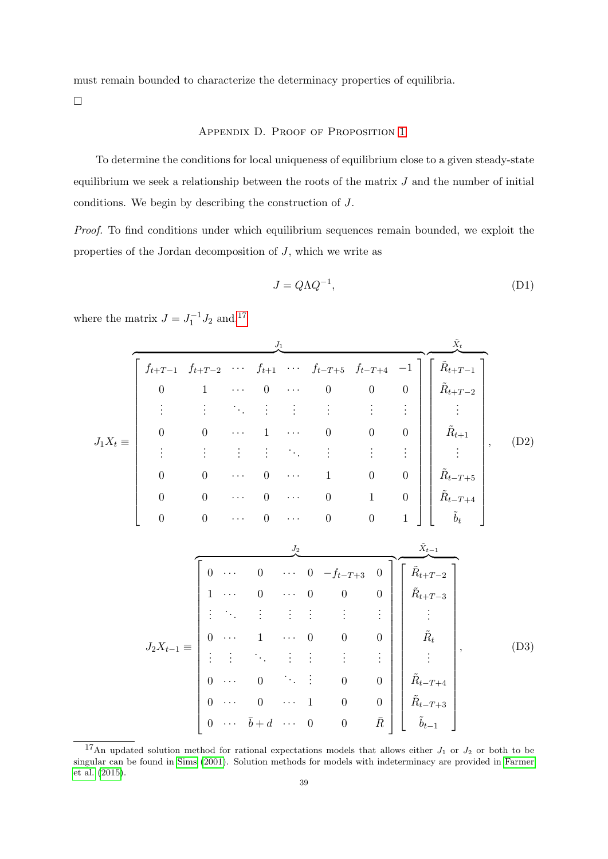must remain bounded to characterize the determinacy properties of equilibria.

<span id="page-40-0"></span> $\Box$ 

# Appendix D. Proof of Proposition [1](#page-19-1)

To determine the conditions for local uniqueness of equilibrium close to a given steady-state equilibrium we seek a relationship between the roots of the matrix  $J$  and the number of initial conditions. We begin by describing the construction of J.

Proof. To find conditions under which equilibrium sequences remain bounded, we exploit the properties of the Jordan decomposition of J, which we write as

$$
J = Q\Lambda Q^{-1},\tag{D1}
$$

 $J_1X_t \equiv$  $J_1$  $\left[\begin{array}{ccccccccc} f_{t+T-1} & f_{t+T-2} & \cdots & f_{t+1} & \cdots & f_{t+T+t} & f_{t+T+t} & -1 \end{array}\right]$   $f_{t+T-1}$   $f_{t+T-2}$  · · ·  $f_{t+1}$  · · ·  $f_{t-T+5}$   $f_{t-T+4}$  -1  $0 \qquad 1 \qquad \cdots \qquad 0 \qquad \cdots \qquad 0 \qquad 0 \qquad 0$ . . . . . . . . . . . . . . . . . . . . . . . .  $0 \qquad 0 \qquad \cdots \qquad 1 \qquad \cdots \qquad 0 \qquad 0 \qquad 0$ . . . . . . . . . . . . . . . . . . . . . . . .  $0 \qquad 0 \qquad \cdots \qquad 0 \qquad \cdots \qquad 1 \qquad 0 \qquad 0$  $0 \qquad 0 \qquad \cdots \qquad 0 \qquad \cdots \qquad 0 \qquad 1 \qquad 0$  $0 \qquad 0 \qquad \cdots \qquad 0 \qquad \cdots \qquad 0 \qquad 0 \qquad 1$ 1  $\tilde{X}_t$  $\overline{\left[\begin{array}{cc} \tilde{R}_{t+T-1} \end{array}\right]}$   $\tilde{R}_{t+T-1}$  $\tilde{R}_{t+T-2}$ . . .  $\tilde{R}_{t+1}$ . . .  $\tilde{R}_{t-T+5}$  $\tilde{R}_{t-T+4}$  $\tilde{b}_t$ 1 , (D2)  $J_2X_{t-1} \equiv$  $J_2$  $\begin{bmatrix} 0 & 0 & 0 & 0 & 0 & 0 \end{bmatrix}$  0 · · · 0 · · · 0  $-f_{t-T+3}$  0  $1 \cdots 0 \cdots 0 0 0$ . . . . . . . . . . . . . . . . . . . . .  $0 \cdots 1 \cdots 0 0 0$ . . . . . . . . . . . . . . . . . . . . .  $0 \cdots 0 \qquad \therefore \qquad 0 \qquad 0$  $0 \cdots 0 \cdots 1 0 0$  $0 \quad \cdots \quad \bar{b} + d \quad \cdots \quad 0 \qquad 0 \qquad \bar{R}$ 1  $\tilde{X}_{t-1}$  $\overline{\left[\begin{array}{cc} \tilde{R}_{t+T-2} \end{array}\right]}$   $\tilde{R}_{t+T-2}$  $\tilde{R}_{t+T-3}$ . . .  $\tilde{R}_t$ . . .  $\tilde{R}_{t-T+4}$  $\tilde{R}_{t-T+3}$  $\tilde{b}_{t-1}$ 1  $(D3)$ 

where the matrix  $J = J_1^{-1} J_2$  and,<sup>[17](#page-40-1)</sup> 1

<span id="page-40-1"></span><sup>&</sup>lt;sup>17</sup>An updated solution method for rational expectations models that allows either  $J_1$  or  $J_2$  or both to be singular can be found in [Sims](#page-33-15) [\(2001\)](#page-33-15). Solution methods for models with indeterminacy are provided in [Farmer](#page-32-19) [et al.](#page-32-19) [\(2015\)](#page-32-19).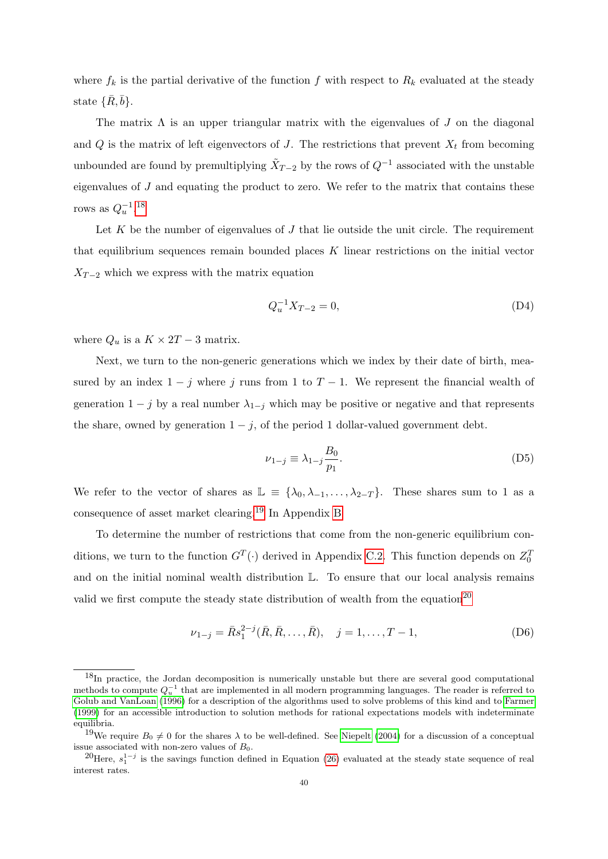where  $f_k$  is the partial derivative of the function f with respect to  $R_k$  evaluated at the steady state  $\{\bar{R}, \bar{b}\}.$ 

The matrix  $\Lambda$  is an upper triangular matrix with the eigenvalues of J on the diagonal and  $Q$  is the matrix of left eigenvectors of  $J$ . The restrictions that prevent  $X_t$  from becoming unbounded are found by premultiplying  $\tilde{X}_{T-2}$  by the rows of  $Q^{-1}$  associated with the unstable eigenvalues of  $J$  and equating the product to zero. We refer to the matrix that contains these rows as  $Q_u^{-1}.^{18}$  $Q_u^{-1}.^{18}$  $Q_u^{-1}.^{18}$ 

Let K be the number of eigenvalues of  $J$  that lie outside the unit circle. The requirement that equilibrium sequences remain bounded places K linear restrictions on the initial vector  $X_{T-2}$  which we express with the matrix equation

$$
Q_u^{-1} X_{T-2} = 0,\t\t(D4)
$$

where  $Q_u$  is a  $K \times 2T - 3$  matrix.

Next, we turn to the non-generic generations which we index by their date of birth, measured by an index  $1 - j$  where j runs from 1 to  $T - 1$ . We represent the financial wealth of generation  $1 - j$  by a real number  $\lambda_{1-j}$  which may be positive or negative and that represents the share, owned by generation  $1 - j$ , of the period 1 dollar-valued government debt.

$$
\nu_{1-j} \equiv \lambda_{1-j} \frac{B_0}{p_1}.\tag{D5}
$$

We refer to the vector of shares as  $\mathbb{L} \equiv {\lambda_0, \lambda_{-1}, \ldots, \lambda_{2-T}}$ . These shares sum to 1 as a consequence of asset market clearing.[19](#page-41-1) In Appendix [B](#page-36-0)

To determine the number of restrictions that come from the non-generic equilibrium conditions, we turn to the function  $G^T(\cdot)$  derived in Appendix [C.2.](#page-38-0) This function depends on  $Z_0^T$ and on the initial nominal wealth distribution  $\mathbb{L}$ . To ensure that our local analysis remains valid we first compute the steady state distribution of wealth from the equation<sup>[20](#page-41-2)</sup>

$$
\nu_{1-j} = \bar{R}s_1^{2-j}(\bar{R}, \bar{R}, \dots, \bar{R}), \quad j = 1, \dots, T-1,
$$
 (D6)

<span id="page-41-0"></span><sup>&</sup>lt;sup>18</sup>In practice, the Jordan decomposition is numerically unstable but there are several good computational methods to compute  $Q_u^{-1}$  that are implemented in all modern programming languages. The reader is referred to [Golub and VanLoan](#page-32-20) [\(1996\)](#page-32-20) for a description of the algorithms used to solve problems of this kind and to [Farmer](#page-31-4) [\(1999\)](#page-31-4) for an accessible introduction to solution methods for rational expectations models with indeterminate equilibria.

<span id="page-41-1"></span><sup>&</sup>lt;sup>19</sup>We require  $B_0 \neq 0$  for the shares  $\lambda$  to be well-defined. See [Niepelt](#page-33-16) [\(2004\)](#page-33-16) for a discussion of a conceptual issue associated with non-zero values of  $B_0$ .

<span id="page-41-2"></span><sup>&</sup>lt;sup>20</sup>Here,  $s_1^{1-j}$  is the savings function defined in Equation [\(26\)](#page-18-2) evaluated at the steady state sequence of real interest rates.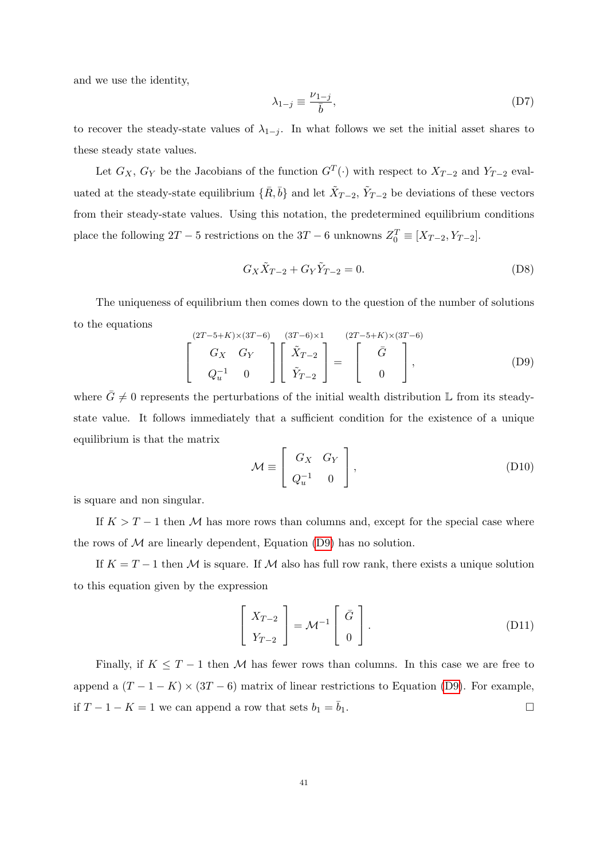and we use the identity,

$$
\lambda_{1-j} \equiv \frac{\nu_{1-j}}{\bar{b}},\tag{D7}
$$

to recover the steady-state values of  $\lambda_{1-j}$ . In what follows we set the initial asset shares to these steady state values.

Let  $G_X$ ,  $G_Y$  be the Jacobians of the function  $G^T(\cdot)$  with respect to  $X_{T-2}$  and  $Y_{T-2}$  evaluated at the steady-state equilibrium  $\{\bar{R}, \bar{b}\}$  and let  $\tilde{X}_{T-2}$ ,  $\tilde{Y}_{T-2}$  be deviations of these vectors from their steady-state values. Using this notation, the predetermined equilibrium conditions place the following  $2T - 5$  restrictions on the  $3T - 6$  unknowns  $Z_0^T \equiv [X_{T-2}, Y_{T-2}]$ .

<span id="page-42-0"></span>
$$
G_X \tilde{X}_{T-2} + G_Y \tilde{Y}_{T-2} = 0.
$$
 (D8)

The uniqueness of equilibrium then comes down to the question of the number of solutions to the equations

$$
\begin{bmatrix}\n(T-5+K)\times(3T-6) & (3T-6)\times 1 & (2T-5+K)\times(3T-6) \\
G_X & G_Y \\
Q_u^{-1} & 0\n\end{bmatrix}\n\begin{bmatrix}\n\tilde{X}_{T-2} \\
\tilde{Y}_{T-2}\n\end{bmatrix} = \n\begin{bmatrix}\n\bar{G} \\
0\n\end{bmatrix},
$$
\n(D9)

where  $\bar{G} \neq 0$  represents the perturbations of the initial wealth distribution L from its steadystate value. It follows immediately that a sufficient condition for the existence of a unique equilibrium is that the matrix

$$
\mathcal{M} \equiv \left[ \begin{array}{cc} G_X & G_Y \\ Q_u^{-1} & 0 \end{array} \right],\tag{D10}
$$

is square and non singular.

If  $K > T - 1$  then M has more rows than columns and, except for the special case where the rows of  $M$  are linearly dependent, Equation [\(D9\)](#page-42-0) has no solution.

If  $K = T - 1$  then M is square. If M also has full row rank, there exists a unique solution to this equation given by the expression

$$
\begin{bmatrix} X_{T-2} \\ Y_{T-2} \end{bmatrix} = \mathcal{M}^{-1} \begin{bmatrix} \bar{G} \\ 0 \end{bmatrix}.
$$
 (D11)

Finally, if  $K \leq T - 1$  then M has fewer rows than columns. In this case we are free to append a  $(T - 1 - K) \times (3T - 6)$  matrix of linear restrictions to Equation [\(D9\)](#page-42-0). For example, if  $T - 1 - K = 1$  we can append a row that sets  $b_1 = \overline{b}_1$ . □